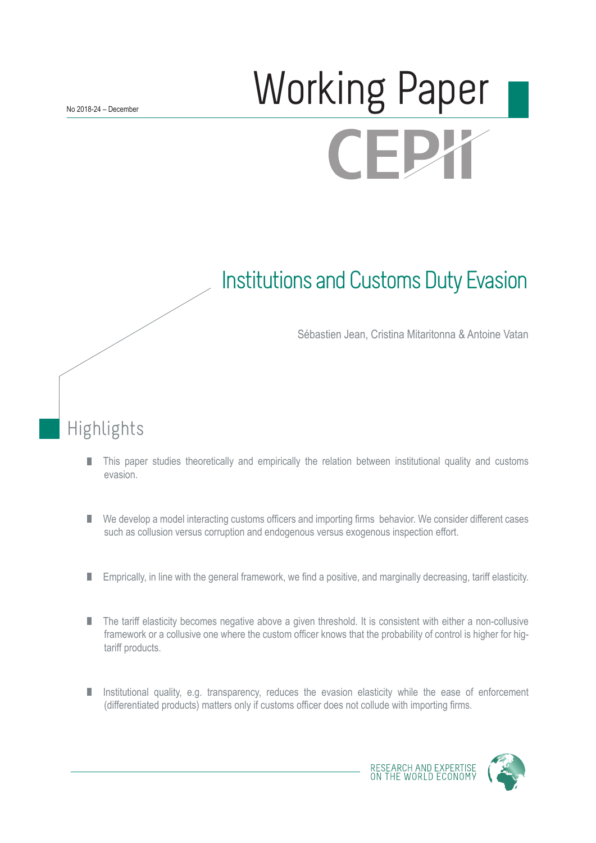# Working Paper **CEPX**

## Institutions and Customs Duty Evasion

Sébastien Jean, Cristina Mitaritonna & Antoine Vatan

## Highlights

- This paper studies theoretically and empirically the relation between institutional quality and customs П evasion.
- We develop a model interacting customs officers and importing firms behavior. We consider different cases П such as collusion versus corruption and endogenous versus exogenous inspection effort.
- Emprically, in line with the general framework, we find a positive, and marginally decreasing, tariff elasticity. П
- П The tariff elasticity becomes negative above a given threshold. It is consistent with either a non-collusive framework or a collusive one where the custom officer knows that the probability of control is higher for higtariff products.
- Institutional quality, e.g. transparency, reduces the evasion elasticity while the ease of enforcement П (differentiated products) matters only if customs officer does not collude with importing firms.



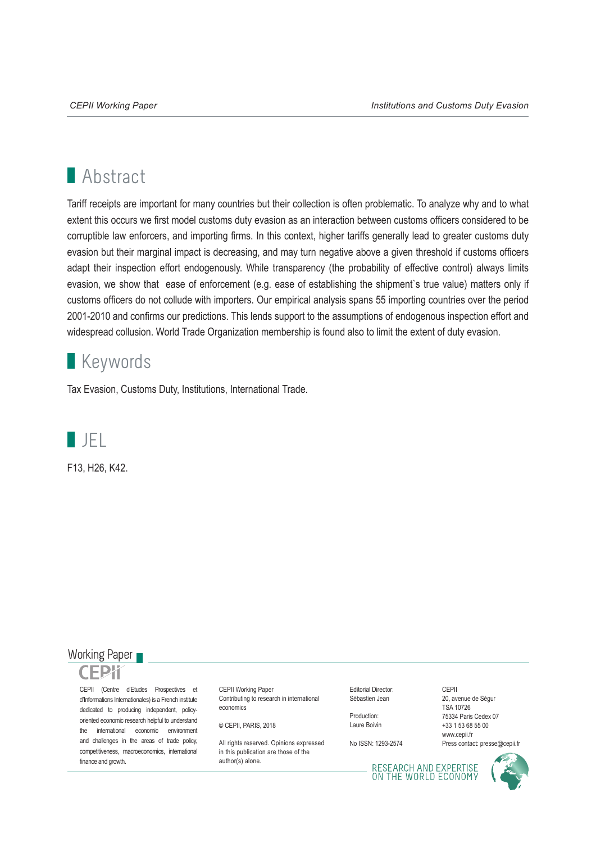## **Abstract**

Tariff receipts are important for many countries but their collection is often problematic. To analyze why and to what extent this occurs we first model customs duty evasion as an interaction between customs officers considered to be corruptible law enforcers, and importing firms. In this context, higher tariffs generally lead to greater customs duty evasion but their marginal impact is decreasing, and may turn negative above a given threshold if customs officers adapt their inspection effort endogenously. While transparency (the probability of effective control) always limits evasion, we show that ease of enforcement (e.g. ease of establishing the shipment's true value) matters only if customs officers do not collude with importers. Our empirical analysis spans 55 importing countries over the period 2001-2010 and confirms our predictions. This lends support to the assumptions of endogenous inspection effort and widespread collusion. World Trade Organization membership is found also to limit the extent of duty evasion.

## **Keywords**

Tax Evasion, Customs Duty, Institutions, International Trade.



F13, H26, K42.

#### Working Paper

CEPII (Centre d'Etudes Prospectives et d'Informations Internationales) is a French institute dedicated to producing independent, policyoriented economic research helpful to understand the international economic environment and challenges in the areas of trade policy, competitiveness, macroeconomics, international finance and growth.

CEPII Working Paper Contributing to research in international economics

© CEPII, PARIS, 2018

All rights reserved. Opinions expressed. in this publication are those of the author(s) alone.

Editorial Director: Sébastien Jean

Production: Laure Boivin

No ISSN: 1293-2574

CEPII 20, avenue de Ségur TSA 10726 75334 Paris Cedex 07 +33 1 53 68 55 00 www.cepii.fr Press contact: presse@cepii.fr

RESEARCH AND EXPERTISE<br>ON THE WORLD ECONOMY

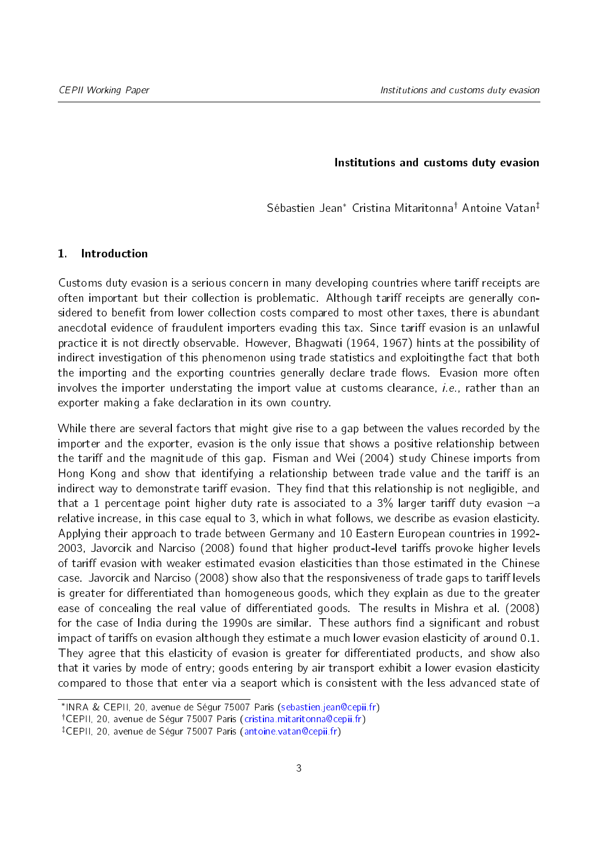#### Institutions and customs duty evasion

Sébastien Jean<sup>\*</sup> Cristina Mitaritonna<sup>†</sup> Antoine Vatan<sup>‡</sup>

#### 1. Introduction

Customs duty evasion is a serious concern in many developing countries where tariff receipts are often important but their collection is problematic. Although tariff receipts are generally considered to benefit from lower collection costs compared to most other taxes, there is abundant anecdotal evidence of fraudulent importers evading this tax. Since tariff evasion is an unlawful practice it is not directly observable. However, [Bhagwati](#page-22-0) [\(1964,](#page-22-0) [1967\)](#page-22-1) hints at the possibility of indirect investigation of this phenomenon using trade statistics and exploitingthe fact that both the importing and the exporting countries generally declare trade flows. Evasion more often involves the importer understating the import value at customs clearance, *i.e.*, rather than an exporter making a fake declaration in its own country.

While there are several factors that might give rise to a gap between the values recorded by the importer and the exporter, evasion is the only issue that shows a positive relationship between the tariff and the magnitude of this gap. [Fisman and Wei](#page-22-2) [\(2004\)](#page-22-2) study Chinese imports from Hong Kong and show that identifying a relationship between trade value and the tariff is an indirect way to demonstrate tariff evasion. They find that this relationship is not negligible, and that a 1 percentage point higher duty rate is associated to a  $3\%$  larger tariff duty evasion  $-a$ relative increase, in this case equal to 3, which in what follows, we describe as evasion elasticity. Applying their approach to trade between Germany and 10 Eastern European countries in 1992- 2003, [Javorcik and Narciso](#page-22-3) [\(2008\)](#page-22-3) found that higher product-level tariffs provoke higher levels of tariff evasion with weaker estimated evasion elasticities than those estimated in the Chinese case. [Javorcik and Narciso](#page-22-3) [\(2008\)](#page-22-3) show also that the responsiveness of trade gaps to tariff levels is greater for differentiated than homogeneous goods, which they explain as due to the greater ease of concealing the real value of differentiated goods. The results in [Mishra et al.](#page-22-4) [\(2008\)](#page-22-4) for the case of India during the 1990s are similar. These authors find a significant and robust impact of tariffs on evasion although they estimate a much lower evasion elasticity of around  $0.1$ . They agree that this elasticity of evasion is greater for differentiated products, and show also that it varies by mode of entry; goods entering by air transport exhibit a lower evasion elasticity compared to those that enter via a seaport which is consistent with the less advanced state of

<span id="page-2-0"></span>INRA & CEPII, 20, avenue de Ségur 75007 Paris [\(sebastien.jean@cepii.fr\)](mailto:sebastien.jean@cepii.fr)

<span id="page-2-1"></span><sup>&</sup>lt;sup>†</sup>CEPII, 20, avenue de Ségur 75007 Paris [\(cristina.mitaritonna@cepii.fr\)](mailto:cristina.mitaritonna@cepii.fr)

<span id="page-2-2"></span><sup>&</sup>lt;sup>‡</sup>CEPII, 20, avenue de Ségur 75007 Paris [\(antoine.vatan@cepii.fr\)](mailto:antoine.vatan@cepii.fr)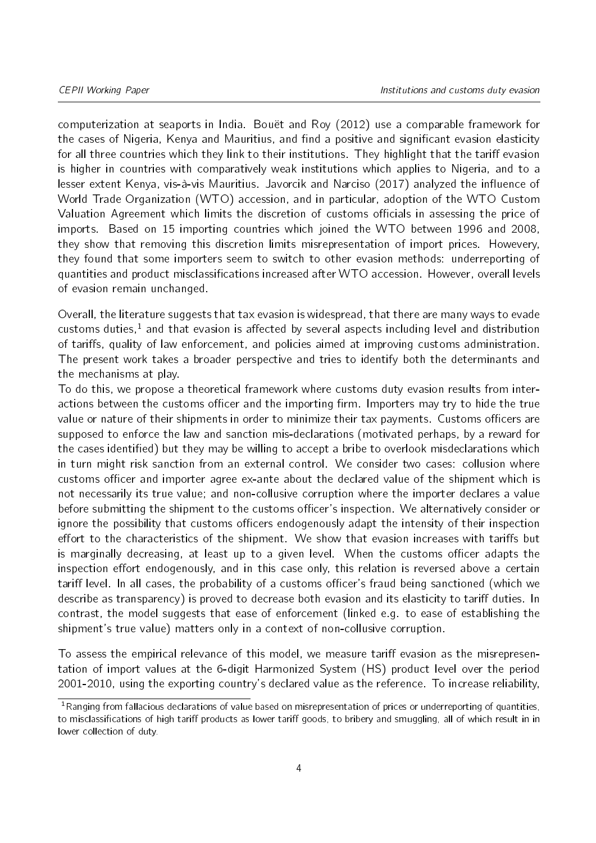computerization at seaports in India. [Bouët and Roy](#page-22-5) [\(2012\)](#page-22-5) use a comparable framework for the cases of Nigeria, Kenya and Mauritius, and find a positive and significant evasion elasticity for all three countries which they link to their institutions. They highlight that the tariff evasion is higher in countries with comparatively weak institutions which applies to Nigeria, and to a lesser extent Kenya, vis-à-vis Mauritius. [Javorcik and Narciso](#page-22-6) [\(2017\)](#page-22-6) analyzed the influence of World Trade Organization (WTO) accession, and in particular, adoption of the WTO Custom Valuation Agreement which limits the discretion of customs officials in assessing the price of imports. Based on 15 importing countries which joined the WTO between 1996 and 2008, they show that removing this discretion limits misrepresentation of import prices. Howevery, they found that some importers seem to switch to other evasion methods: underreporting of quantities and product misclassifications increased after WTO accession. However, overall levels of evasion remain unchanged.

Overall, the literature suggests that tax evasion is widespread, that there are many ways to evade customs duties, $<sup>1</sup>$  $<sup>1</sup>$  $<sup>1</sup>$  and that evasion is affected by several aspects including level and distribution</sup> of tariffs, quality of law enforcement, and policies aimed at improving customs administration. The present work takes a broader perspective and tries to identify both the determinants and the mechanisms at play.

To do this, we propose a theoretical framework where customs duty evasion results from interactions between the customs officer and the importing firm. Importers may try to hide the true value or nature of their shipments in order to minimize their tax payments. Customs officers are supposed to enforce the law and sanction mis-declarations (motivated perhaps, by a reward for the cases identified) but they may be willing to accept a bribe to overlook misdeclarations which in turn might risk sanction from an external control. We consider two cases: collusion where customs officer and importer agree ex-ante about the declared value of the shipment which is not necessarily its true value; and non-collusive corruption where the importer declares a value before submitting the shipment to the customs officer's inspection. We alternatively consider or ignore the possibility that customs officers endogenously adapt the intensity of their inspection effort to the characteristics of the shipment. We show that evasion increases with tariffs but is marginally decreasing, at least up to a given level. When the customs officer adapts the inspection effort endogenously, and in this case only, this relation is reversed above a certain tariff level. In all cases, the probability of a customs officer's fraud being sanctioned (which we describe as transparency) is proved to decrease both evasion and its elasticity to tariff duties. In contrast, the model suggests that ease of enforcement (linked e.g. to ease of establishing the shipment's true value) matters only in a context of non-collusive corruption.

To assess the empirical relevance of this model, we measure tariff evasion as the misrepresentation of import values at the 6-digit Harmonized System (HS) product level over the period 2001-2010, using the exporting country's declared value as the reference. To increase reliability,

<span id="page-3-0"></span> $1$ Ranging from fallacious declarations of value based on misrepresentation of prices or underreporting of quantities, to misclassifications of high tariff products as lower tariff goods, to bribery and smuggling, all of which result in in lower collection of duty.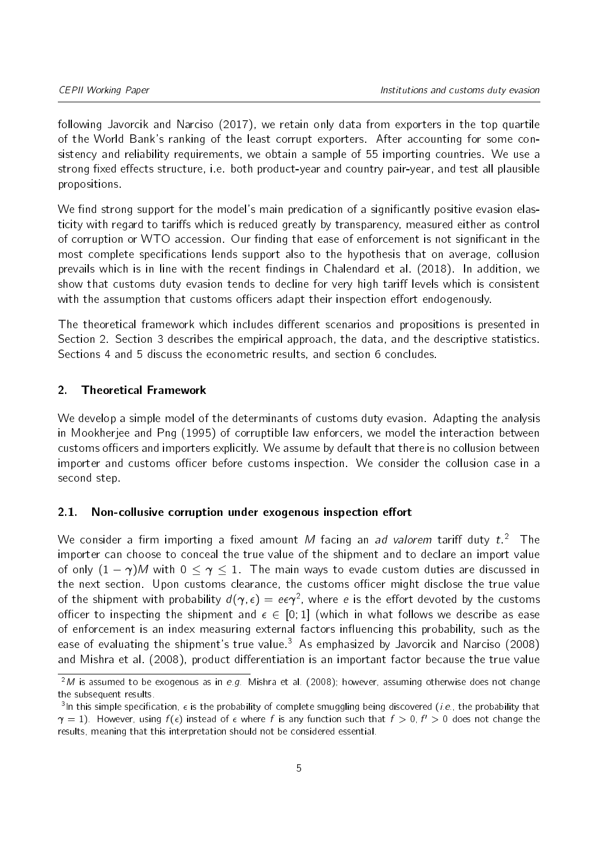following [Javorcik and Narciso](#page-22-6) [\(2017\)](#page-22-6), we retain only data from exporters in the top quartile of the World Bank's ranking of the least corrupt exporters. After accounting for some consistency and reliability requirements, we obtain a sample of 55 importing countries. We use a strong fixed effects structure, i.e. both product-year and country pair-year, and test all plausible propositions.

We find strong support for the model's main predication of a significantly positive evasion elasticity with regard to tariffs which is reduced greatly by transparency, measured either as control of corruption or WTO accession. Our finding that ease of enforcement is not significant in the most complete specifications lends support also to the hypothesis that on average, collusion prevails which is in line with the recent findings in [Chalendard et al.](#page-22-7) [\(2018\)](#page-22-7). In addition, we show that customs duty evasion tends to decline for very high tariff levels which is consistent with the assumption that customs officers adapt their inspection effort endogenously.

The theoretical framework which includes different scenarios and propositions is presented in Section 2. Section 3 describes the empirical approach, the data, and the descriptive statistics. Sections 4 and 5 discuss the econometric results, and section 6 concludes.

#### 2. Theoretical Framework

We develop a simple model of the determinants of customs duty evasion. Adapting the analysis in [Mookherjee and Png](#page-22-8) [\(1995\)](#page-22-8) of corruptible law enforcers, we model the interaction between customs officers and importers explicitly. We assume by default that there is no collusion between importer and customs officer before customs inspection. We consider the collusion case in a second step.

#### 2.1. Non-collusive corruption under exogenous inspection effort

We consider a firm importing a fixed amount M facing an *ad valorem* tariff duty  $t.^2$  $t.^2$  The importer can choose to conceal the true value of the shipment and to declare an import value of only  $(1 - \gamma)M$  with  $0 \le \gamma \le 1$ . The main ways to evade custom duties are discussed in the next section. Upon customs clearance, the customs officer might disclose the true value of the shipment with probability  $d(\bm{\gamma},\epsilon)=e\epsilon\bm{\gamma}^2$ , where  $e$  is the effort devoted by the customs officer to inspecting the shipment and  $\epsilon \in [0, 1]$  (which in what follows we describe as ease of enforcement is an index measuring external factors influencing this probability, such as the ease of evaluating the shipment's true value.<sup>[3](#page-4-1)</sup> As emphasized by [Javorcik and Narciso](#page-22-3) [\(2008\)](#page-22-3) and [Mishra et al.](#page-22-4) [\(2008\)](#page-22-4), product differentiation is an important factor because the true value

<span id="page-4-0"></span> $2M$  is assumed to be exogenous as in e.g. [Mishra et al.](#page-22-4) [\(2008\)](#page-22-4); however, assuming otherwise does not change the subsequent results.

<span id="page-4-1"></span><sup>&</sup>lt;sup>3</sup>In this simple specification,  $\epsilon$  is the probability of complete smuggling being discovered (*i.e.*, the probability that  $\gamma = 1$ ). However, using  $f(\epsilon)$  instead of  $\epsilon$  where f is any function such that  $f > 0$ ,  $f' > 0$  does not change the results, meaning that this interpretation should not be considered essential.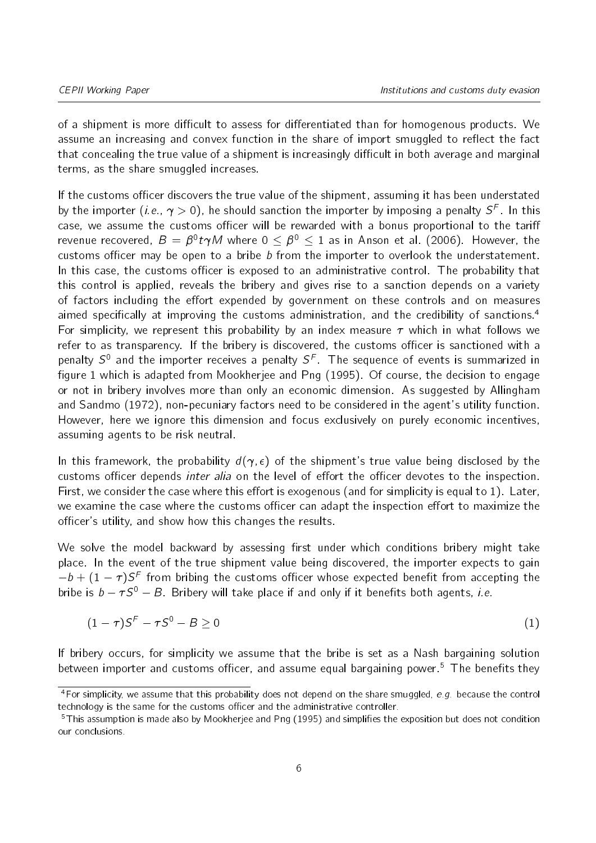of a shipment is more difficult to assess for differentiated than for homogenous products. We assume an increasing and convex function in the share of import smuggled to reflect the fact that concealing the true value of a shipment is increasingly difficult in both average and marginal terms, as the share smuggled increases.

If the customs officer discovers the true value of the shipment, assuming it has been understated by the importer (*i.e.*,  $\gamma >$  0), he should sanction the importer by imposing a penalty  $\mathcal{S}^F$ . In this case, we assume the customs officer will be rewarded with a bonus proportional to the tariff revenue recovered,  $B\,=\,\beta^0\,t\gamma M$  where  $0\,\leq\,\beta^0\,\leq\,1$  as in [Anson et al.](#page-22-9) [\(2006\)](#page-22-9). However, the customs officer may be open to a bribe  $b$  from the importer to overlook the understatement. In this case, the customs officer is exposed to an administrative control. The probability that this control is applied, reveals the bribery and gives rise to a sanction depends on a variety of factors including the effort expended by government on these controls and on measures aimed specifically at improving the customs administration, and the credibility of sanctions.<sup>[4](#page-5-0)</sup> For simplicity, we represent this probability by an index measure  $\tau$  which in what follows we refer to as transparency. If the bribery is discovered, the customs officer is sanctioned with a penalty  $S^0$  and the importer receives a penalty  $S^F$ . The sequence of events is summarized in figure [1](#page-6-0) which is adapted from [Mookherjee and Png](#page-22-8) [\(1995\)](#page-22-8). Of course, the decision to engage or not in bribery involves more than only an economic dimension. As suggested by [Allingham](#page-22-10) [and Sandmo](#page-22-10) [\(1972\)](#page-22-10), non-pecuniary factors need to be considered in the agent's utility function. However, here we ignore this dimension and focus exclusively on purely economic incentives, assuming agents to be risk neutral.

In this framework, the probability  $d(\gamma, \epsilon)$  of the shipment's true value being disclosed by the customs officer depends *inter alia* on the level of effort the officer devotes to the inspection. First, we consider the case where this effort is exogenous (and for simplicity is equal to 1). Later, we examine the case where the customs officer can adapt the inspection effort to maximize the officer's utility, and show how this changes the results.

We solve the model backward by assessing first under which conditions bribery might take place. In the event of the true shipment value being discovered, the importer expects to gain  $b - b + (1-\tau)S^F$  from bribing the customs officer whose expected benefit from accepting the bribe is  $b - \tau S^0 - B$ . Bribery will take place if and only if it benefits both agents, *i.e.* 

$$
(1 - \tau)S^F - \tau S^0 - B \ge 0 \tag{1}
$$

If bribery occurs, for simplicity we assume that the bribe is set as a Nash bargaining solution between importer and customs officer, and assume equal bargaining power.<sup>[5](#page-5-1)</sup> The benefits they

<span id="page-5-0"></span> $4$  For simplicity, we assume that this probability does not depend on the share smuggled, e.g. because the control technology is the same for the customs officer and the administrative controller.

<span id="page-5-1"></span> $5$ This assumption is made also by Mookheriee and Png [\(1995\)](#page-22-8) and simplifies the exposition but does not condition our conclusions.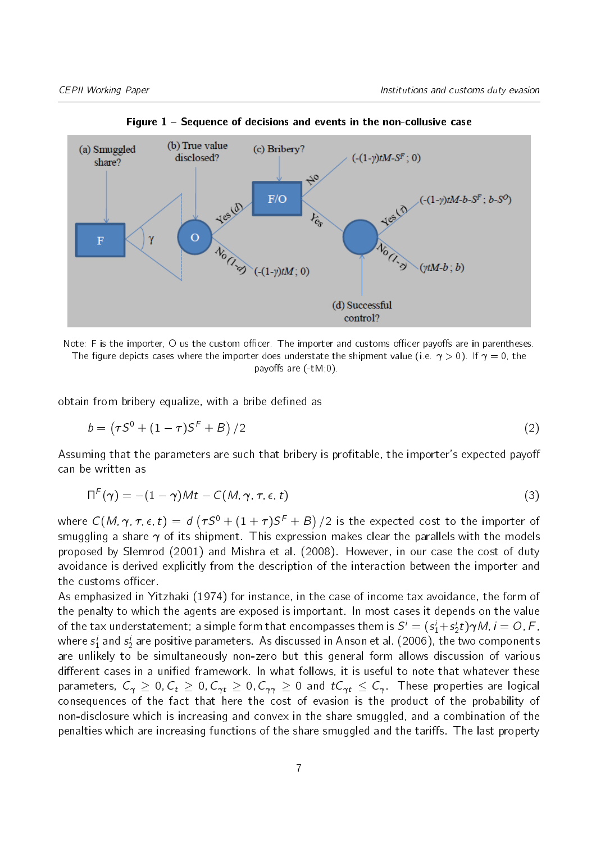<span id="page-6-0"></span>

Figure  $1$  – Sequence of decisions and events in the non-collusive case



obtain from bribery equalize, with a bribe defined as

$$
b = (\tau S^0 + (1 - \tau)S^F + B)/2
$$
 (2)

Assuming that the parameters are such that bribery is profitable, the importer's expected payoff can be written as

$$
\Pi^{F}(\gamma) = -(1 - \gamma)Mt - C(M, \gamma, \tau, \epsilon, t)
$$
\n(3)

where  $C(M,\gamma,\tau,\epsilon,\,t)\,=\,d\left(\tau S^0+(1+\tau)S^{\digamma}+B\right)/2$  is the expected cost to the importer of smuggling a share  $\gamma$  of its shipment. This expression makes clear the parallels with the models proposed by [Slemrod](#page-23-0) [\(2001\)](#page-23-0) and [Mishra et al.](#page-22-4) [\(2008\)](#page-22-4). However, in our case the cost of duty avoidance is derived explicitly from the description of the interaction between the importer and the customs officer.

As emphasized in [Yitzhaki](#page-23-1) [\(1974\)](#page-23-1) for instance, in the case of income tax avoidance, the form of the penalty to which the agents are exposed is important. In most cases it depends on the value of the tax understatement; a simple form that encompasses them is  $\mathcal{S}^i=(s_1^i+s_2^i t)\bm{\gamma}$ M,  $i=O$ , F, where  $\mathsf{s}_1^i$  and  $\mathsf{s}_2^i$  are positive parameters. As discussed in [Anson et al.](#page-22-9) [\(2006\)](#page-22-9), the two components are unlikely to be simultaneously non-zero but this general form allows discussion of various different cases in a unified framework. In what follows, it is useful to note that whatever these parameters,  $C_{\gamma} \ge 0$ ,  $C_t \ge 0$ ,  $C_{\gamma t} \ge 0$ ,  $C_{\gamma \gamma} \ge 0$  and  $tC_{\gamma t} \le C_{\gamma}$ . These properties are logical consequences of the fact that here the cost of evasion is the product of the probability of non-disclosure which is increasing and convex in the share smuggled, and a combination of the penalties which are increasing functions of the share smuggled and the tariffs. The last property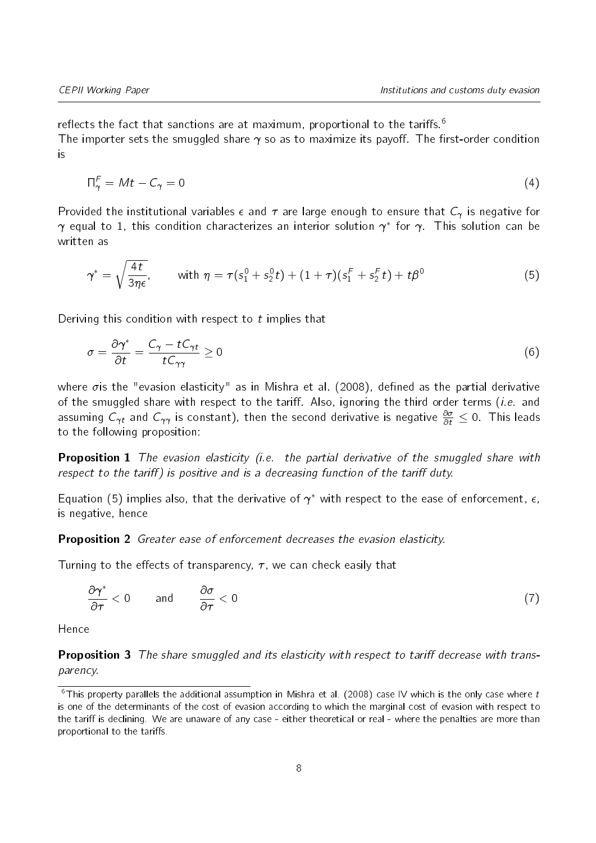reflects the fact that sanctions are at maximum, proportional to the tariffs.<sup>[6](#page-7-0)</sup> The importer sets the smuggled share  $\gamma$  so as to maximize its payoff. The first-order condition is

$$
\Pi_{\gamma}^{F} = Mt - C_{\gamma} = 0 \tag{4}
$$

Provided the institutional variables  $\epsilon$  and  $\tau$  are large enough to ensure that  $C_{\gamma}$  is negative for  $\gamma$  equal to 1, this condition characterizes an interior solution  $\gamma^*$  for  $\gamma$  . This solution can be written as

<span id="page-7-1"></span>
$$
\gamma^* = \sqrt{\frac{4t}{3\eta\epsilon}}, \qquad \text{with } \eta = \tau(s_1^0 + s_2^0 t) + (1+\tau)(s_1^F + s_2^F t) + t\beta^0 \tag{5}
$$

Deriving this condition with respect to  $t$  implies that

<span id="page-7-2"></span>
$$
\sigma = \frac{\partial \gamma^*}{\partial t} = \frac{C_\gamma - t C_{\gamma t}}{t C_{\gamma \gamma}} \ge 0 \tag{6}
$$

where  $\sigma$  is the "evasion elasticity" as in [Mishra et al.](#page-22-4) [\(2008\)](#page-22-4), defined as the partial derivative of the smuggled share with respect to the tariff. Also, ignoring the third order terms (i.e. and assuming  $C_{\gamma t}$  and  $C_{\gamma\gamma}$  is constant), then the second derivative is negative  $\frac{\partial \sigma}{\partial t}\leq 0.$  This leads to the following proposition:

**Proposition 1** The evasion elasticity (i.e. the partial derivative of the smuggled share with respect to the tariff) is positive and is a decreasing function of the tariff duty.

<span id="page-7-4"></span>Equation [\(5\)](#page-7-1) implies also, that the derivative of  $\gamma^*$  with respect to the ease of enforcement,  $\epsilon,$ is negative, hence

Proposition 2 Greater ease of enforcement decreases the evasion elasticity.

Turning to the effects of transparency,  $\tau$ , we can check easily that

$$
\frac{\partial \gamma^*}{\partial \tau} < 0 \qquad \text{and} \qquad \frac{\partial \sigma}{\partial \tau} < 0 \tag{7}
$$

<span id="page-7-3"></span>Hence

**Proposition 3** The share smuggled and its elasticity with respect to tariff decrease with transparency.

<span id="page-7-0"></span><sup>&</sup>lt;sup>6</sup>This property parallels the additional assumption in [Mishra et al.](#page-22-4) [\(2008\)](#page-22-4) case IV which is the only case where t is one of the determinants of the cost of evasion according to which the marginal cost of evasion with respect to the tariff is declining. We are unaware of any case - either theoretical or real - where the penalties are more than proportional to the tariffs.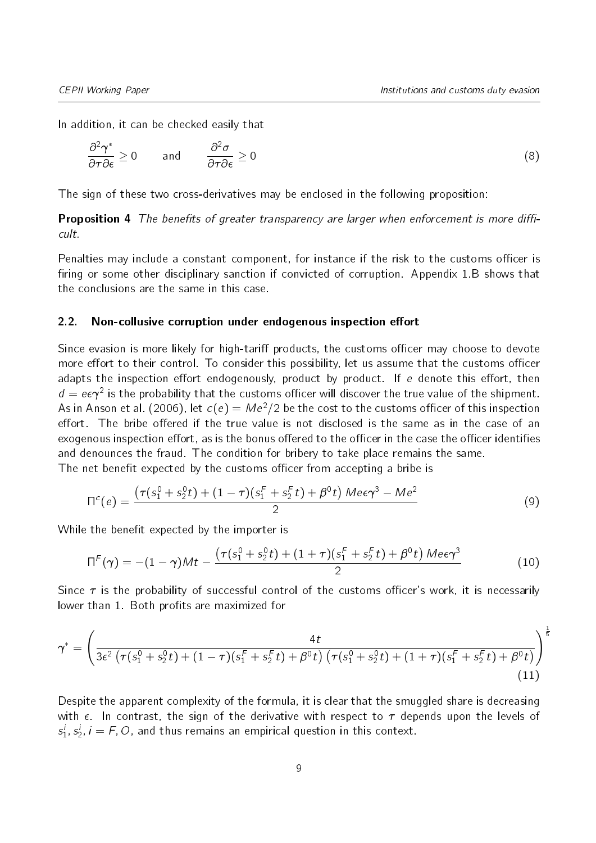In addition, it can be checked easily that

$$
\frac{\partial^2 \gamma^*}{\partial \tau \partial \epsilon} \ge 0 \quad \text{and} \quad \frac{\partial^2 \sigma}{\partial \tau \partial \epsilon} \ge 0 \tag{8}
$$

<span id="page-8-0"></span>The sign of these two cross-derivatives may be enclosed in the following proposition:

**Proposition 4** The benefits of greater transparency are larger when enforcement is more difficult.

Penalties may include a constant component, for instance if the risk to the customs officer is firing or some other disciplinary sanction if convicted of corruption. Appendix 1.B shows that the conclusions are the same in this case.

#### 2.2. Non-collusive corruption under endogenous inspection effort

Since evasion is more likely for high-tariff products, the customs officer may choose to devote more effort to their control. To consider this possibility, let us assume that the customs officer adapts the inspection effort endogenously, product by product. If e denote this effort, then  $d = e\epsilon \gamma^2$  is the probability that the customs officer will discover the true value of the shipment. As in [Anson et al.](#page-22-9) [\(2006\)](#page-22-9), let  $c(e) = Me^2/2$  be the cost to the customs officer of this inspection effort. The bribe offered if the true value is not disclosed is the same as in the case of an exogenous inspection effort, as is the bonus offered to the officer in the case the officer identifies and denounces the fraud. The condition for bribery to take place remains the same. The net benefit expected by the customs officer from accepting a bribe is

$$
\Pi^{c}(e) = \frac{\left(\tau(s_1^0 + s_2^0 t) + (1 - \tau)(s_1^F + s_2^F t) + \beta^0 t\right) M e \epsilon \gamma^3 - M e^2}{2}
$$
\n(9)

While the benefit expected by the importer is

$$
\Pi^{F}(\gamma) = -(1-\gamma)Mt - \frac{\left(\tau(s_1^0 + s_2^0 t) + (1+\tau)(s_1^F + s_2^F t) + \beta^0 t\right)M e \epsilon \gamma^3}{2}
$$
(10)

Since  $\tau$  is the probability of successful control of the customs officer's work, it is necessarily lower than 1. Both profits are maximized for

$$
\gamma^* = \left(\frac{4t}{3\epsilon^2 \left(\tau(s_1^0 + s_2^0 t) + (1 - \tau)(s_1^F + s_2^F t) + \beta^0 t\right) \left(\tau(s_1^0 + s_2^0 t) + (1 + \tau)(s_1^F + s_2^F t) + \beta^0 t\right)}\right)^{\frac{1}{5}} \tag{11}
$$

Despite the apparent complexity of the formula, it is clear that the smuggled share is decreasing with  $\epsilon$ . In contrast, the sign of the derivative with respect to  $\tau$  depends upon the levels of  $s_1^i, s_2^i, i = F, O$ , and thus remains an empirical question in this context.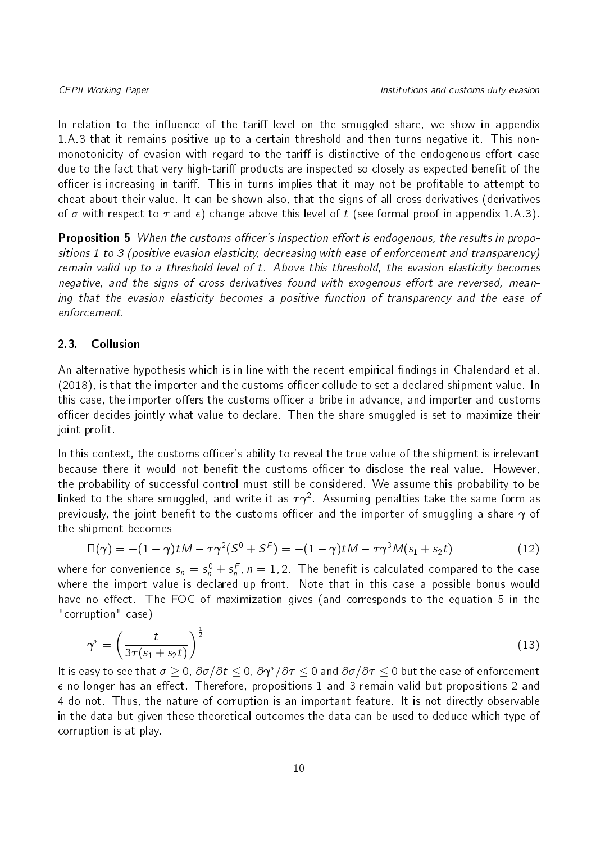In relation to the influence of the tariff level on the smuggled share, we show in appendix 1[.A.3](#page-25-0) that it remains positive up to a certain threshold and then turns negative it. This nonmonotonicity of evasion with regard to the tariff is distinctive of the endogenous effort case due to the fact that very high-tariff products are inspected so closely as expected benefit of the officer is increasing in tariff. This in turns implies that it may not be profitable to attempt to cheat about their value. It can be shown also, that the signs of all cross derivatives (derivatives of  $\sigma$  with respect to  $\tau$  and  $\epsilon$ ) change above this level of t (see formal proof in appendix 1[.A.3\)](#page-25-0).

**Proposition 5** When the customs officer's inspection effort is endogenous, the results in propositions 1 to 3 (positive evasion elasticity, decreasing with ease of enforcement and transparency) remain valid up to a threshold level of t. Above this threshold, the evasion elasticity becomes negative, and the signs of cross derivatives found with exogenous effort are reversed, meaning that the evasion elasticity becomes a positive function of transparency and the ease of enforcement.

#### 2.3. Collusion

An alternative hypothesis which is in line with the recent empirical findings in [Chalendard et al.](#page-22-7)  $(2018)$ , is that the importer and the customs officer collude to set a declared shipment value. In this case, the importer offers the customs officer a bribe in advance, and importer and customs officer decides jointly what value to declare. Then the share smuggled is set to maximize their joint profit.

In this context, the customs officer's ability to reveal the true value of the shipment is irrelevant because there it would not benefit the customs officer to disclose the real value. However, the probability of successful control must still be considered. We assume this probability to be linked to the share smuggled, and write it as  $\tau\gamma^2$ . Assuming penalties take the same form as previously, the joint benefit to the customs officer and the importer of smuggling a share  $\gamma$  of the shipment becomes

$$
\Pi(\gamma) = -(1 - \gamma)tM - \tau\gamma^{2}(S^{0} + S^{F}) = -(1 - \gamma)tM - \tau\gamma^{3}M(s_{1} + s_{2}t)
$$
\n(12)

where for convenience  $s_n = s_n^0 + s_n^F$ ,  $n = 1,2$  . The benefit is calculated compared to the case where the import value is declared up front. Note that in this case a possible bonus would have no effect. The FOC of maximization gives (and corresponds to the equation [5](#page-7-1) in the "corruption" case)

$$
\gamma^* = \left(\frac{t}{3\tau(s_1+s_2t)}\right)^{\frac{1}{2}}\tag{13}
$$

It is easy to see that  $\sigma \geq 0$ ,  $\partial \sigma/\partial t \leq 0$ ,  $\partial \gamma^*/\partial \tau \leq 0$  and  $\partial \sigma/\partial \tau \leq 0$  but the ease of enforcement  $\epsilon$  no longer has an effect. Therefore, propositions [1](#page-7-2) and [3](#page-7-3) remain valid but propositions [2](#page-7-4) and [4](#page-8-0) do not. Thus, the nature of corruption is an important feature. It is not directly observable in the data but given these theoretical outcomes the data can be used to deduce which type of corruption is at play.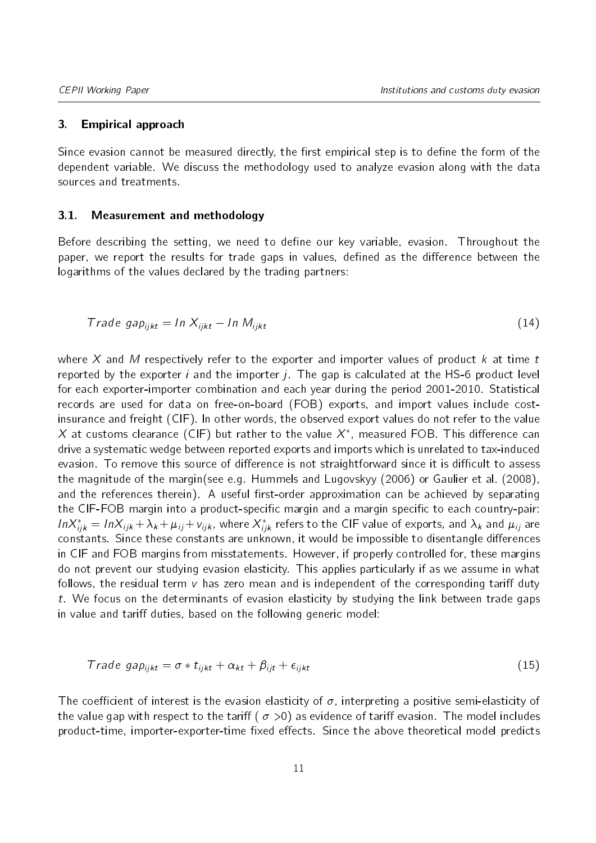#### 3. Empirical approach

Since evasion cannot be measured directly, the first empirical step is to define the form of the dependent variable. We discuss the methodology used to analyze evasion along with the data sources and treatments.

#### 3.1. Measurement and methodology

Before describing the setting, we need to define our key variable, evasion. Throughout the paper, we report the results for trade gaps in values, defined as the difference between the logarithms of the values declared by the trading partners:

$$
Trade\ gap_{ijkt} = In\ X_{ijkt} - In\ M_{ijkt}
$$
\n(14)

where X and M respectively refer to the exporter and importer values of product  $k$  at time  $t$ reported by the exporter i and the importer  $j$ . The gap is calculated at the HS-6 product level for each exporter-importer combination and each year during the period 2001-2010. Statistical records are used for data on free-on-board (FOB) exports, and import values include costinsurance and freight (CIF). In other words, the observed export values do not refer to the value  $X$  at customs clearance (CIF) but rather to the value  $X^*$ , measured FOB. This difference can drive a systematic wedge between reported exports and imports which is unrelated to tax-induced evasion. To remove this source of difference is not straightforward since it is difficult to assess the magnitude of the margin(see e.g. [Hummels and Lugovskyy](#page-22-11) [\(2006\)](#page-22-11) or [Gaulier et al.](#page-22-12) [\(2008\)](#page-22-12), and the references therein). A useful first-order approximation can be achieved by separating the CIF-FOB margin into a product-specific margin and a margin specific to each country-pair:  $ln X^*_{ijk}=ln X_{ijk}+\lambda_k+\mu_{ij}+v_{ijk}$ , where  $X^*_{ijk}$  refers to the CIF value of exports, and  $\lambda_k$  and  $\mu_{ij}$  are constants. Since these constants are unknown, it would be impossible to disentangle differences in CIF and FOB margins from misstatements. However, if properly controlled for, these margins do not prevent our studying evasion elasticity. This applies particularly if as we assume in what follows, the residual term  $v$  has zero mean and is independent of the corresponding tariff duty t. We focus on the determinants of evasion elasticity by studying the link between trade gaps in value and tariff duties, based on the following generic model:

$$
Trade\ gap_{ijkt} = \sigma * t_{ijkt} + \alpha_{kt} + \beta_{ijt} + \epsilon_{ijkt}
$$
\n(15)

The coefficient of interest is the evasion elasticity of  $\sigma$ , interpreting a positive semi-elasticity of the value gap with respect to the tariff ( $\sigma > 0$ ) as evidence of tariff evasion. The model includes product-time, importer-exporter-time fixed effects. Since the above theoretical model predicts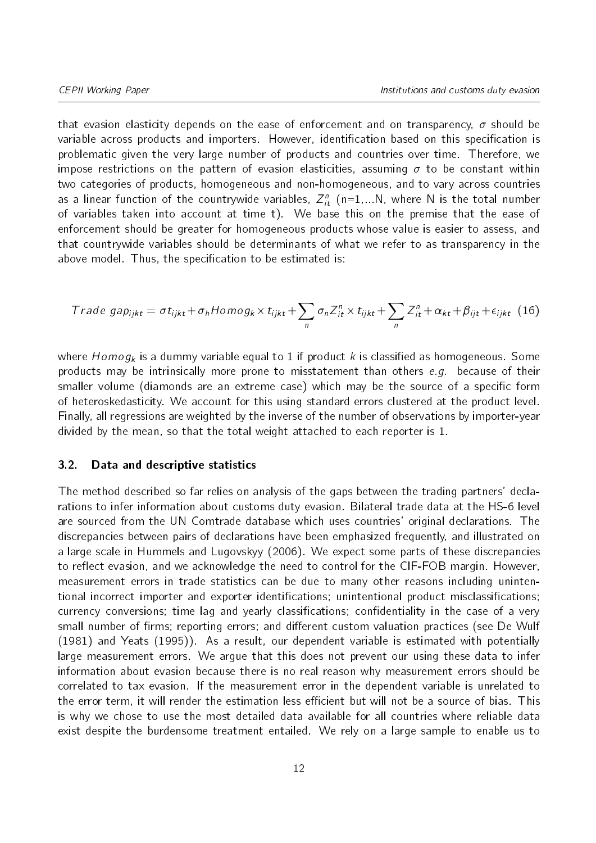that evasion elasticity depends on the ease of enforcement and on transparency,  $\sigma$  should be variable across products and importers. However, identification based on this specification is problematic given the very large number of products and countries over time. Therefore, we impose restrictions on the pattern of evasion elasticities, assuming  $\sigma$  to be constant within two categories of products, homogeneous and non-homogeneous, and to vary across countries as a linear function of the countrywide variables,  $Z_{it}^n$  (n=1,...N, where N is the total number of variables taken into account at time t). We base this on the premise that the ease of enforcement should be greater for homogeneous products whose value is easier to assess, and that countrywide variables should be determinants of what we refer to as transparency in the above model. Thus, the specification to be estimated is:

<span id="page-11-0"></span>
$$
Trade\ gap_{ijkt} = \sigma t_{ijkt} + \sigma_h Homog_k \times t_{ijkt} + \sum_n \sigma_n Z_{it}^n \times t_{ijkt} + \sum_n Z_{it}^n + \alpha_{kt} + \beta_{ijt} + \epsilon_{ijkt} \tag{16}
$$

where  $Homog<sub>k</sub>$  is a dummy variable equal to 1 if product k is classified as homogeneous. Some products may be intrinsically more prone to misstatement than others  $e.g.$  because of their smaller volume (diamonds are an extreme case) which may be the source of a specific form of heteroskedasticity. We account for this using standard errors clustered at the product level. Finally, all regressions are weighted by the inverse of the number of observations by importer-year divided by the mean, so that the total weight attached to each reporter is 1.

#### 3.2. Data and descriptive statistics

The method described so far relies on analysis of the gaps between the trading partners' declarations to infer information about customs duty evasion. Bilateral trade data at the HS-6 level are sourced from the UN Comtrade database which uses countries' original declarations. The discrepancies between pairs of declarations have been emphasized frequently, and illustrated on a large scale in [Hummels and Lugovskyy](#page-22-11) [\(2006\)](#page-22-11). We expect some parts of these discrepancies to reflect evasion, and we acknowledge the need to control for the CIF-FOB margin. However, measurement errors in trade statistics can be due to many other reasons including unintentional incorrect importer and exporter identifications; unintentional product misclassifications; currency conversions; time lag and yearly classifications; confidentiality in the case of a very small number of firms; reporting errors; and different custom valuation practices (see [De Wulf](#page-22-13) [\(1981\)](#page-22-13) and [Yeats](#page-23-2) [\(1995\)](#page-23-2)). As a result, our dependent variable is estimated with potentially large measurement errors. We argue that this does not prevent our using these data to infer information about evasion because there is no real reason why measurement errors should be correlated to tax evasion. If the measurement error in the dependent variable is unrelated to the error term, it will render the estimation less efficient but will not be a source of bias. This is why we chose to use the most detailed data available for all countries where reliable data exist despite the burdensome treatment entailed. We rely on a large sample to enable us to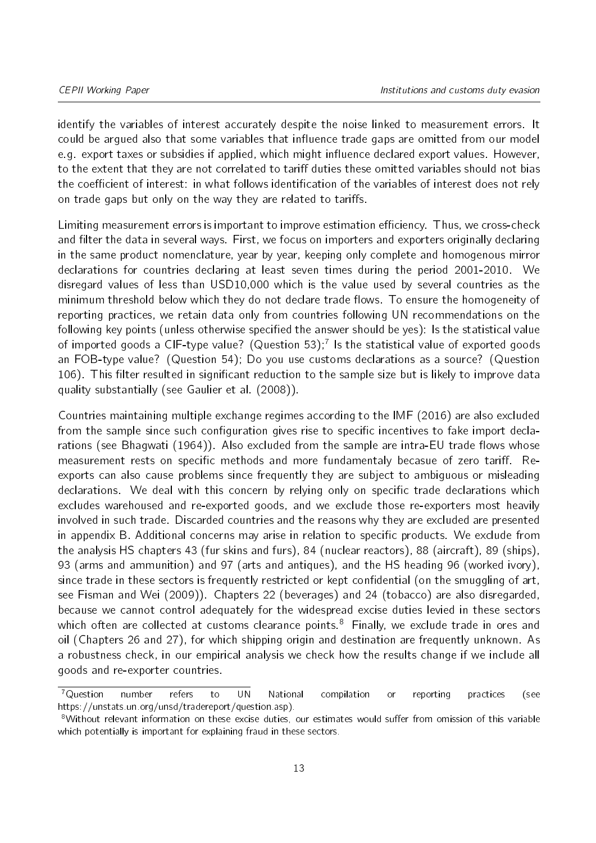identify the variables of interest accurately despite the noise linked to measurement errors. It could be arqued also that some variables that influence trade gaps are omitted from our model e.g. export taxes or subsidies if applied, which might influence declared export values. However, to the extent that they are not correlated to tariff duties these omitted variables should not bias the coefficient of interest: in what follows identification of the variables of interest does not rely on trade gaps but only on the way they are related to tariffs.

Limiting measurement errors is important to improve estimation efficiency. Thus, we cross-check and filter the data in several ways. First, we focus on importers and exporters originally declaring in the same product nomenclature, year by year, keeping only complete and homogenous mirror declarations for countries declaring at least seven times during the period 2001-2010. We disregard values of less than USD10,000 which is the value used by several countries as the minimum threshold below which they do not declare trade flows. To ensure the homogeneity of reporting practices, we retain data only from countries following UN recommendations on the following key points (unless otherwise specified the answer should be yes): Is the statistical value of imported goods a CIF-type value?  $\,$  (Question 53); $^7$  $^7$  Is the statistical value of exported goods an FOB-type value? (Question 54); Do you use customs declarations as a source? (Question 106). This filter resulted in significant reduction to the sample size but is likely to improve data quality substantially (see [Gaulier et al.](#page-22-12) [\(2008\)](#page-22-12)).

Countries maintaining multiple exchange regimes according to the [IMF](#page-22-14) [\(2016\)](#page-22-14) are also excluded from the sample since such configuration gives rise to specific incentives to fake import decla-rations (see [Bhagwati](#page-22-0) [\(1964\)](#page-22-0)). Also excluded from the sample are intra-EU trade flows whose measurement rests on specific methods and more fundamentaly becasue of zero tariff. Reexports can also cause problems since frequently they are subject to ambiguous or misleading declarations. We deal with this concern by relying only on specific trade declarations which excludes warehoused and re-exported goods, and we exclude those re-exporters most heavily involved in such trade. Discarded countries and the reasons why they are excluded are presented in appendix [B.](#page-26-0) Additional concerns may arise in relation to specific products. We exclude from the analysis HS chapters 43 (fur skins and furs), 84 (nuclear reactors), 88 (aircraft), 89 (ships), 93 (arms and ammunition) and 97 (arts and antiques), and the HS heading 96 (worked ivory), since trade in these sectors is frequently restricted or kept confidential (on the smuggling of art, see [Fisman and Wei](#page-22-15) [\(2009\)](#page-22-15)). Chapters 22 (beverages) and 24 (tobacco) are also disregarded, because we cannot control adequately for the widespread excise duties levied in these sectors which often are collected at customs clearance points.<sup>[8](#page-12-1)</sup> Finally, we exclude trade in ores and oil (Chapters 26 and 27), for which shipping origin and destination are frequently unknown. As a robustness check, in our empirical analysis we check how the results change if we include all goods and re-exporter countries.

<span id="page-12-0"></span><sup>&</sup>lt;sup>7</sup>Question number refers to UN National compilation or reporting practices (see https://unstats.un.org/unsd/tradereport/question.asp).

<span id="page-12-1"></span><sup>&</sup>lt;sup>8</sup>Without relevant information on these excise duties, our estimates would suffer from omission of this variable which potentially is important for explaining fraud in these sectors.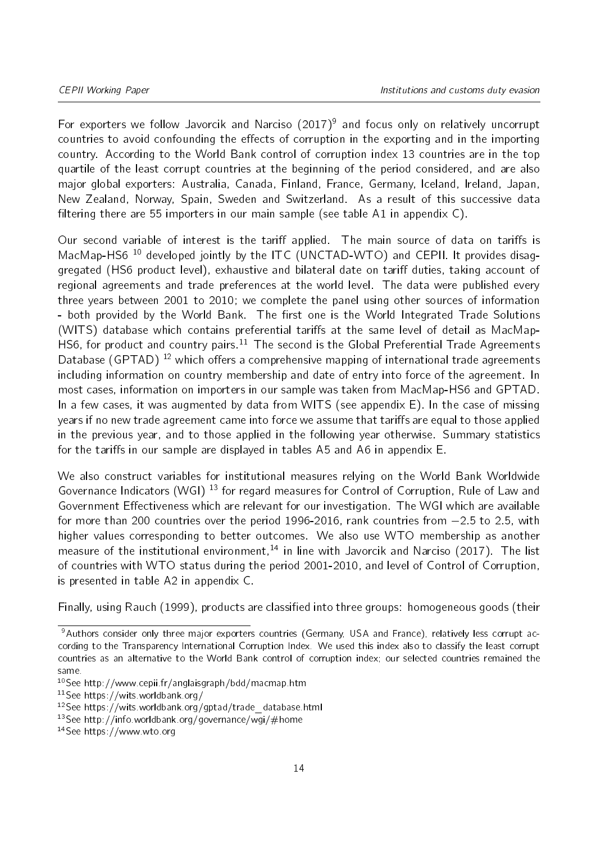For exporters we follow [Javorcik and Narciso](#page-22-6) [\(2017\)](#page-22-6)<sup>[9](#page-13-0)</sup> and focus only on relatively uncorrupt countries to avoid confounding the effects of corruption in the exporting and in the importing country. According to the World Bank control of corruption index 13 countries are in the top quartile of the least corrupt countries at the beginning of the period considered, and are also major global exporters: Australia, Canada, Finland, France, Germany, Iceland, Ireland, Japan, New Zealand, Norway, Spain, Sweden and Switzerland. As a result of this successive data filtering there are 55 importers in our main sample (see table [A1](#page-28-0) in appendix  $\mathsf{C}$ ).

Our second variable of interest is the tariff applied. The main source of data on tariffs is MacMap-HS6<sup>[10](#page-13-1)</sup> developed jointly by the ITC (UNCTAD-WTO) and CEPII. It provides disaggregated (HS6 product level), exhaustive and bilateral date on tariff duties, taking account of regional agreements and trade preferences at the world level. The data were published every three years between 2001 to 2010; we complete the panel using other sources of information - both provided by the World Bank. The first one is the World Integrated Trade Solutions (WITS) database which contains preferential tariffs at the same level of detail as MacMap-HS6, for product and country pairs.<sup>[11](#page-13-2)</sup> The second is the Global Preferential Trade Agreements Database (GPTAD)<sup>[12](#page-13-3)</sup> which offers a comprehensive mapping of international trade agreements including information on country membership and date of entry into force of the agreement. In most cases, information on importers in our sample was taken from MacMap-HS6 and GPTAD. In a few cases, it was augmented by data from WITS (see appendix [E\)](#page-31-0). In the case of missing years if no new trade agreement came into force we assume that tariffs are equal to those applied in the previous year, and to those applied in the following year otherwise. Summary statistics for the tariffs in our sample are displayed in tables [A5](#page-31-1) and [A6](#page-31-2) in appendix [E.](#page-31-0)

We also construct variables for institutional measures relying on the World Bank Worldwide Governance Indicators (WGI)<sup>[13](#page-13-4)</sup> for regard measures for Control of Corruption, Rule of Law and Government Effectiveness which are relevant for our investigation. The WGI which are available for more than 200 countries over the period 1996-2016, rank countries from  $-2.5$  to 2.5, with higher values corresponding to better outcomes. We also use WTO membership as another measure of the institutional environment,<sup>[14](#page-13-5)</sup> in line with [Javorcik and Narciso](#page-22-6) [\(2017\)](#page-22-6). The list of countries with WTO status during the period 2001-2010, and level of Control of Corruption, is presented in table [A2](#page-29-0) in appendix [C.](#page-28-1)

Finally, using [Rauch](#page-22-16) [\(1999\)](#page-22-16), products are classified into three groups: homogeneous goods (their

<span id="page-13-0"></span><sup>&</sup>lt;sup>9</sup>Authors consider only three major exporters countries (Germany, USA and France), relatively less corrupt according to the Transparency International Corruption Index. We used this index also to classify the least corrupt countries as an alternative to the World Bank control of corruption index; our selected countries remained the same.

<span id="page-13-1"></span><sup>10</sup>See http://www.cepii.fr/anglaisgraph/bdd/macmap.htm

<span id="page-13-2"></span><sup>11</sup>See https://wits.worldbank.org/

<span id="page-13-3"></span><sup>12</sup>See https://wits.worldbank.org/gptad/trade\_database.html

<span id="page-13-4"></span><sup>&</sup>lt;sup>13</sup>See http://info.worldbank.org/governance/wgi/#home

<span id="page-13-5"></span><sup>14</sup>See https://www.wto.org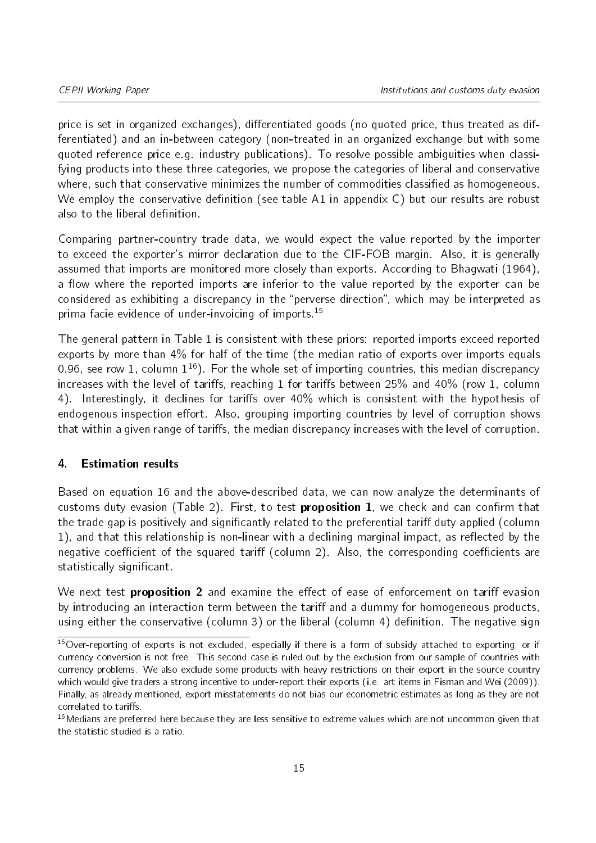price is set in organized exchanges), differentiated goods (no quoted price, thus treated as differentiated) and an in-between category (non-treated in an organized exchange but with some quoted reference price e.g. industry publications). To resolve possible ambiguities when classifying products into these three categories, we propose the categories of liberal and conservative where, such that conservative minimizes the number of commodities classified as homogeneous. We employ the conservative definition (see table [A1](#page-28-0) in appendix  $C$ ) but our results are robust also to the liberal definition.

Comparing partner-country trade data, we would expect the value reported by the importer to exceed the exporter's mirror declaration due to the CIF-FOB margin. Also, it is generally assumed that imports are monitored more closely than exports. According to [Bhagwati](#page-22-0) [\(1964\)](#page-22-0), a flow where the reported imports are inferior to the value reported by the exporter can be considered as exhibiting a discrepancy in the "perverse direction", which may be interpreted as prima facie evidence of under-invoicing of imports.<sup>[15](#page-14-0)</sup>

The general pattern in Table [1](#page-15-0) is consistent with these priors: reported imports exceed reported exports by more than 4% for half of the time (the median ratio of exports over imports equals 0.96, see row 1, column  $1^{16}$  $1^{16}$  $1^{16}$ ). For the whole set of importing countries, this median discrepancy increases with the level of tariffs, reaching 1 for tariffs between  $25\%$  and  $40\%$  (row 1, column 4). Interestingly, it declines for tariffs over 40% which is consistent with the hypothesis of endogenous inspection effort. Also, grouping importing countries by level of corruption shows that within a given range of tariffs, the median discrepancy increases with the level of corruption.

#### 4. Estimation results

Based on equation [16](#page-11-0) and the above-described data, we can now analyze the determinants of customs duty evasion (Table [2\)](#page-15-1). First, to test **proposition 1**, we check and can confirm that the trade gap is positively and significantly related to the preferential tariff duty applied (column 1), and that this relationship is non-linear with a declining marginal impact, as reflected by the negative coefficient of the squared tariff (column 2). Also, the corresponding coefficients are statistically significant.

We next test **proposition 2** and examine the effect of ease of enforcement on tariff evasion by introducing an interaction term between the tariff and a dummy for homogeneous products, using either the conservative (column 3) or the liberal (column 4) definition. The negative sign

<span id="page-14-0"></span><sup>&</sup>lt;sup>15</sup>Over-reporting of exports is not excluded, especially if there is a form of subsidy attached to exporting, or if currency conversion is not free. This second case is ruled out by the exclusion from our sample of countries with currency problems. We also exclude some products with heavy restrictions on their export in the source country which would give traders a strong incentive to under-report their exports (i.e. art items in [Fisman and Wei](#page-22-15) [\(2009\)](#page-22-15)). Finally, as already mentioned, export misstatements do not bias our econometric estimates as long as they are not correlated to tariffs.

<span id="page-14-1"></span><sup>&</sup>lt;sup>16</sup> Medians are preferred here because they are less sensitive to extreme values which are not uncommon given that the statistic studied is a ratio.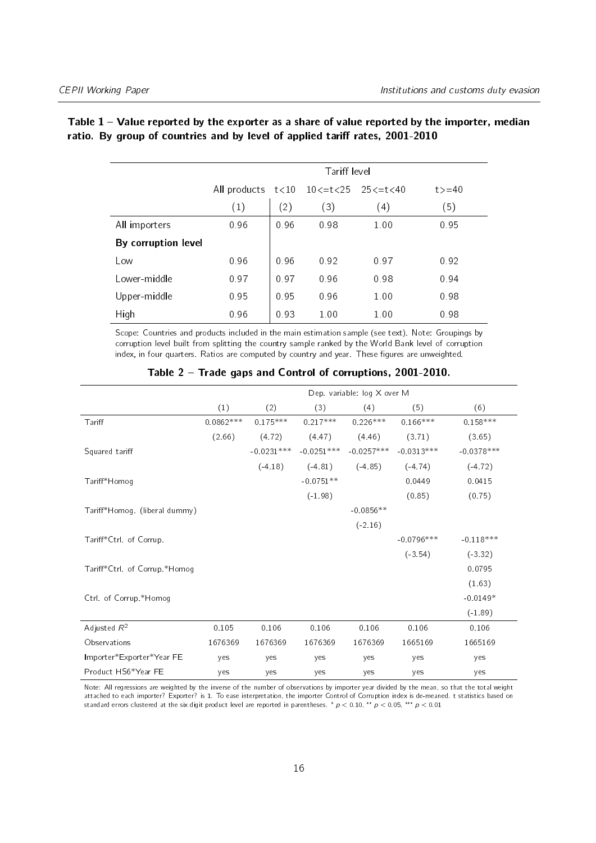|                     |                                     |                   | Tariff level |      |        |
|---------------------|-------------------------------------|-------------------|--------------|------|--------|
|                     | All products t<10 10<=t<25 25<=t<40 |                   |              |      | t > 40 |
|                     | (1)                                 | $\left( 2\right)$ | (3)          | (4)  | (5)    |
| All importers       | 0.96                                | 0.96              | 0.98         | 1.00 | 0.95   |
| By corruption level |                                     |                   |              |      |        |
| Low                 | 0.96                                | 0.96              | 0.92         | 0.97 | 0.92   |
| Lower-middle        | 0.97                                | 0.97              | 0.96         | 0.98 | 0.94   |
| Upper-middle        | 0.95                                | 0.95              | 0.96         | 1.00 | 0.98   |
| High                | 0.96                                | 0.93              | 1.00         | 1.00 | 0.98   |

#### <span id="page-15-0"></span>Table  $1 -$  Value reported by the exporter as a share of value reported by the importer, median ratio. By group of countries and by level of applied tariff rates, 2001-2010

Scope: Countries and products included in the main estimation sample (see text). Note: Groupings by corruption level built from splitting the country sample ranked by the World Bank level of corruption index, in four quarters. Ratios are computed by country and year. These figures are unweighted.

<span id="page-15-1"></span>

|                               |             |              |              | Dep. variable: log X over M |              |              |
|-------------------------------|-------------|--------------|--------------|-----------------------------|--------------|--------------|
|                               | (1)         | (2)          | (3)          | (4)                         | (5)          | (6)          |
| Tariff                        | $0.0862***$ | $0.175***$   | $0.217***$   | $0.226***$                  | $0.166***$   | $0.158***$   |
|                               | (2.66)      | (4.72)       | (4.47)       | (4.46)                      | (3.71)       | (3.65)       |
| Squared tariff                |             | $-0.0231***$ | $-0.0251***$ | $-0.0257***$                | $-0.0313***$ | $-0.0378***$ |
|                               |             | $(-4.18)$    | $(-4.81)$    | $(-4.85)$                   | $(-4.74)$    | $(-4.72)$    |
| Tariff*Homog                  |             |              | $-0.0751**$  |                             | 0.0449       | 0.0415       |
|                               |             |              | $(-1.98)$    |                             | (0.85)       | (0.75)       |
| Tariff*Homog. (liberal dummy) |             |              |              | $-0.0856**$                 |              |              |
|                               |             |              |              | $(-2.16)$                   |              |              |
| Tariff*Ctrl. of Corrup.       |             |              |              |                             | $-0.0796***$ | $-0.118***$  |
|                               |             |              |              |                             | $(-3.54)$    | $(-3.32)$    |
| Tariff*Ctrl of Corrup *Homog  |             |              |              |                             |              | 0.0795       |
|                               |             |              |              |                             |              | (1.63)       |
| Ctrl. of Corrup.*Homog        |             |              |              |                             |              | $-0.0149*$   |
|                               |             |              |              |                             |              | $(-1.89)$    |
| Adjusted $R^2$                | 0.105       | 0.106        | 0.106        | 0.106                       | 0.106        | 0.106        |
| Observations                  | 1676369     | 1676369      | 1676369      | 1676369                     | 1665169      | 1665169      |
| Importer*Exporter*Year FE     | yes         | yes          | yes          | yes                         | yes          | yes          |
| Product HS6*Year FE           | yes         | yes          | yes          | yes                         | yes          | yes          |

#### Table 2 Trade gaps and Control of corruptions, 2001-2010.

Note: All regressions are weighted by the inverse of the number of observations by importer year divided by the mean, so that the total weight attached to each importer? Exporter? is 1. To ease interpretation, the importer Control of Corruption index is de-meaned. t statistics based on standard errors clustered at the six digit product level are reported in parentheses.  $p < 0.10$ ,  $\cdot$   $p < 0.05$ ,  $\cdot$   $\cdot$   $p < 0.01$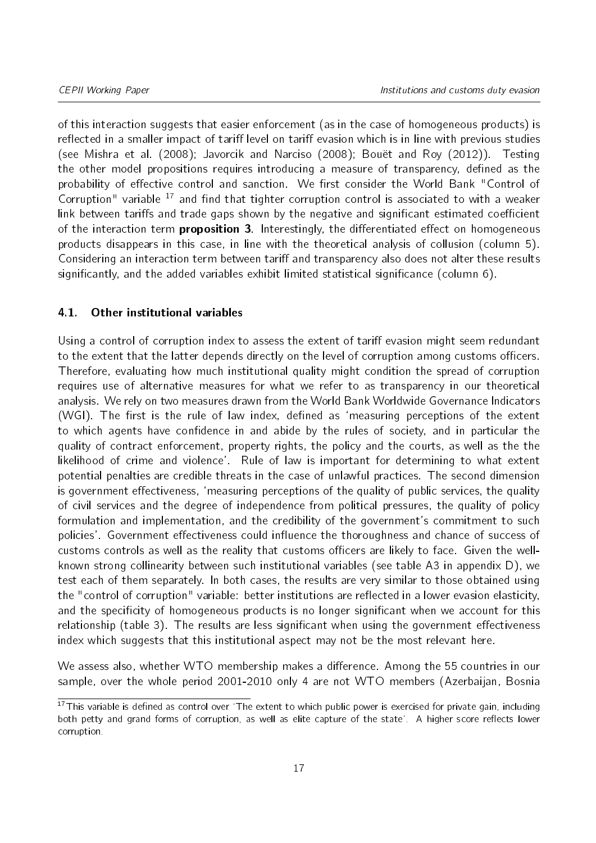of this interaction suggests that easier enforcement (as in the case of homogeneous products) is reflected in a smaller impact of tariff level on tariff evasion which is in line with previous studies (see [Mishra et al.](#page-22-4) [\(2008\)](#page-22-4); [Javorcik and Narciso](#page-22-3) [\(2008\)](#page-22-3); [Bouët and Roy](#page-22-5) [\(2012\)](#page-22-5)). Testing the other model propositions requires introducing a measure of transparency, defined as the probability of effective control and sanction. We first consider the World Bank "Control of Corruption" variable  $17$  and find that tighter corruption control is associated to with a weaker link between tariffs and trade gaps shown by the negative and significant estimated coefficient of the interaction term *proposition* 3. Interestingly, the differentiated effect on homogeneous products disappears in this case, in line with the theoretical analysis of collusion (column 5). Considering an interaction term between tariff and transparency also does not alter these results significantly, and the added variables exhibit limited statistical significance (column 6).

#### 4.1. Other institutional variables

Using a control of corruption index to assess the extent of tariff evasion might seem redundant to the extent that the latter depends directly on the level of corruption among customs officers. Therefore, evaluating how much institutional quality might condition the spread of corruption requires use of alternative measures for what we refer to as transparency in our theoretical analysis. We rely on two measures drawn from the World Bank Worldwide Governance Indicators (WGI). The first is the rule of law index, defined as 'measuring perceptions of the extent to which agents have confidence in and abide by the rules of society, and in particular the quality of contract enforcement, property rights, the policy and the courts, as well as the the likelihood of crime and violence'. Rule of law is important for determining to what extent potential penalties are credible threats in the case of unlawful practices. The second dimension is government effectiveness, 'measuring perceptions of the quality of public services, the quality of civil services and the degree of independence from political pressures, the quality of policy formulation and implementation, and the credibility of the government's commitment to such policies'. Government effectiveness could influence the thoroughness and chance of success of customs controls as well as the reality that customs officers are likely to face. Given the wellknown strong collinearity between such institutional variables (see table [A3](#page-30-0) in appendix [D\)](#page-30-1), we test each of them separately. In both cases, the results are very similar to those obtained using the "control of corruption" variable: better institutions are reflected in a lower evasion elasticity, and the specificity of homogeneous products is no longer significant when we account for this relationship (table [3\)](#page-17-0). The results are less significant when using the government effectiveness index which suggests that this institutional aspect may not be the most relevant here.

We assess also, whether WTO membership makes a difference. Among the 55 countries in our sample, over the whole period 2001-2010 only 4 are not WTO members (Azerbaijan, Bosnia

<span id="page-16-0"></span> $17$ This variable is defined as control over 'The extent to which public power is exercised for private gain, including both petty and grand forms of corruption, as well as elite capture of the state'. A higher score reflects lower corruption.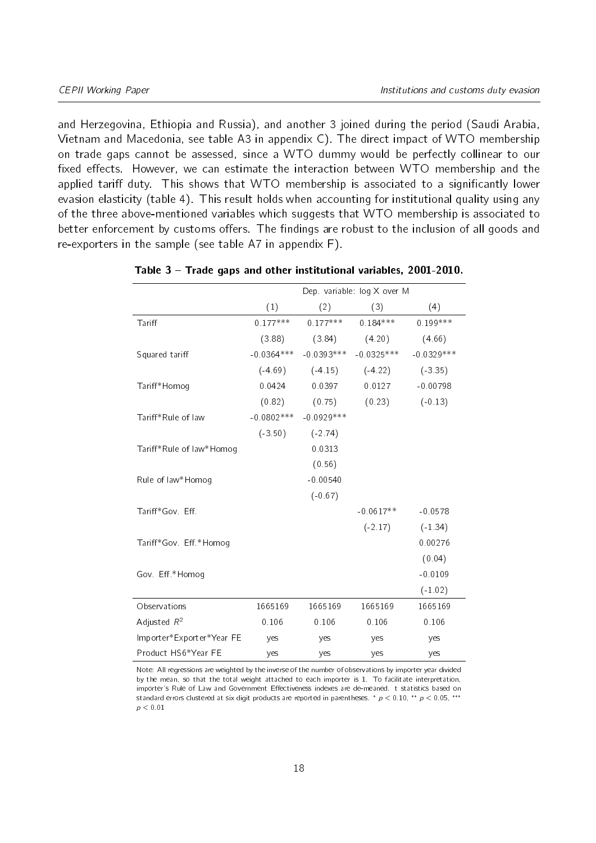and Herzegovina, Ethiopia and Russia), and another 3 joined during the period (Saudi Arabia, Vietnam and Macedonia, see table [A3](#page-30-0) in appendix [C\)](#page-28-1). The direct impact of WTO membership on trade gaps cannot be assessed, since a WTO dummy would be perfectly collinear to our fixed effects. However, we can estimate the interaction between WTO membership and the applied tariff duty. This shows that WTO membership is associated to a significantly lower evasion elasticity (table [4\)](#page-18-0). This result holds when accounting for institutional quality using any of the three above-mentioned variables which suggests that WTO membership is associated to better enforcement by customs offers. The findings are robust to the inclusion of all goods and re-exporters in the sample (see table [A7](#page-32-0) in appendix [F\)](#page-32-1).

|                           |              |              | Dep. variable: log X over M |              |
|---------------------------|--------------|--------------|-----------------------------|--------------|
|                           | (1)          | (2)          | (3)                         | (4)          |
| Tariff                    | $0.177***$   | $0.177***$   | $0.184***$                  | $0.199***$   |
|                           | (3.88)       | (3.84)       | (4.20)                      | (4.66)       |
| Squared tariff            | $-0.0364***$ | $-0.0393***$ | $-0.0325***$                | $-0.0329***$ |
|                           | $(-4.69)$    | $(-4.15)$    | $(-4.22)$                   | $(-3.35)$    |
| Tariff*Homog              | 0.0424       | 0.0397       | 0.0127                      | $-0.00798$   |
|                           | (0.82)       | (0.75)       | (0.23)                      | $(-0.13)$    |
| Tariff*Rule of law        | $-0.0802***$ | $-0.0929***$ |                             |              |
|                           | $(-3.50)$    | $(-2.74)$    |                             |              |
| Tariff*Rule of law*Homog  |              | 0.0313       |                             |              |
|                           |              | (0.56)       |                             |              |
| Rule of law*Homog         |              | $-0.00540$   |                             |              |
|                           |              | $(-0.67)$    |                             |              |
| Tariff*Gov. Eff.          |              |              | $-0.0617**$                 | $-0.0578$    |
|                           |              |              | $(-2.17)$                   | $(-1.34)$    |
| Tariff*Gov Eff *Homog     |              |              |                             | 0.00276      |
|                           |              |              |                             | (0.04)       |
| Gov. Eff *Homog           |              |              |                             | $-0.0109$    |
|                           |              |              |                             | $(-1.02)$    |
| Observations              | 1665169      | 1665169      | 1665169                     | 1665169      |
| Adjusted $R^2$            | 0.106        | 0.106        | 0.106                       | 0.106        |
| Importer*Exporter*Year FE | yes          | yes          | yes                         | yes          |
| Product HS6*Year FE       | yes          | yes          | yes                         | yes          |

<span id="page-17-0"></span>

| Table 3 – Trade gaps and other institutional variables, 2001-2010. |  |
|--------------------------------------------------------------------|--|
|--------------------------------------------------------------------|--|

Note: All regressions are weighted by the inverse of the number of observations by importer year divided by the mean, so that the total weight attached to each importer is 1. To facilitate interpretation, importer's Rule of Law and Government Effectiveness indexes are de-meaned. t statistics based on standard errors clustered at six digit products are reported in parentheses.  $*$   $p < 0.10$ ,  $**$   $p < 0.05$ ,  $***$  $p < 0.01$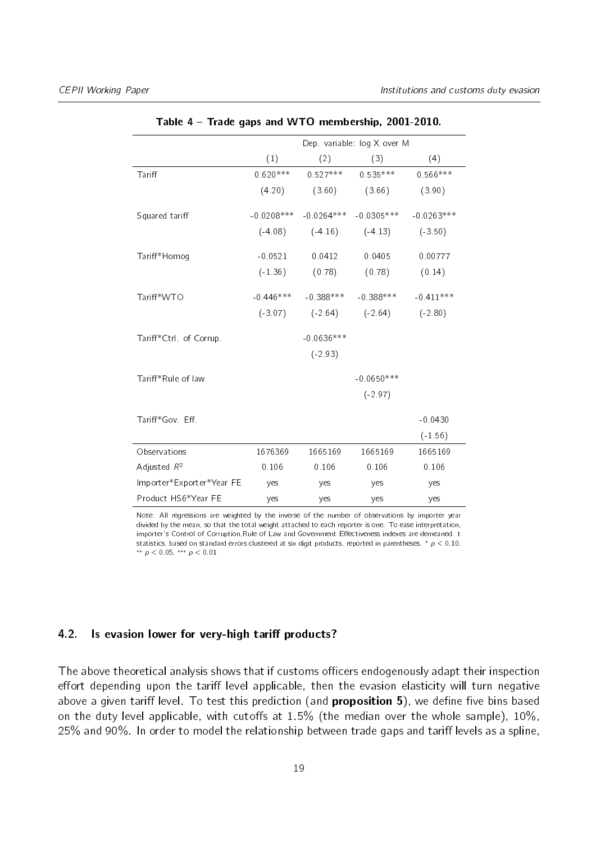<span id="page-18-0"></span>

|                           |              |              | Dep variable log X over M |              |
|---------------------------|--------------|--------------|---------------------------|--------------|
|                           | (1)          | (2)          | (3)                       | (4)          |
| Tariff                    | $0.620***$   | $0.527***$   | $0.535***$                | $0.566***$   |
|                           | (4.20)       | (3.60)       | (3.66)                    | (3.90)       |
| Squared tariff            | $-0.0208***$ | $-0.0264***$ | $-0.0305***$              | $-0.0263***$ |
|                           | $(-4.08)$    | $(-4.16)$    | $(-4.13)$                 | $(-3.50)$    |
| Tariff*Homog              | $-0.0521$    | 0.0412       | 0.0405                    | 0.00777      |
|                           | $(-1.36)$    | (0.78)       | (0.78)                    | (0.14)       |
| Tariff*WTO                | $-0.446***$  | $-0.388***$  | $-0.388***$               | $-0.411***$  |
|                           | $(-3.07)$    | $(-2.64)$    | $(-2.64)$                 | $(-2.80)$    |
| Tariff*Ctrl. of Corrup.   |              | $-0.0636***$ |                           |              |
|                           |              | $(-2.93)$    |                           |              |
| Tariff*Rule of law        |              |              | $-0.0650***$              |              |
|                           |              |              | $(-2.97)$                 |              |
| Tariff*Gov. Eff.          |              |              |                           | $-0.0430$    |
|                           |              |              |                           | $(-1.56)$    |
| Observations              | 1676369      | 1665169      | 1665169                   | 1665169      |
| Adjusted $R^2$            | 0.106        | 0.106        | 0.106                     | 0.106        |
| Importer*Exporter*Year FE | ves          | yes          | yes                       | yes          |
| Product HS6*Year FE       | yes          | yes          | yes                       | yes          |

Table 4 Trade gaps and WTO membership, 2001-2010.

Note: All regressions are weighted by the inverse of the number of observations by importer year divided by the mean, so that the total weight attached to each reporter is one. To ease interpretation, importer's Control of Corruption, Rule of Law and Government Effectiveness indexes are demeaned. t statistics, based on standard errors clustered at six digit products, reported in parentheses.  $p < 0.10$ , \*\*  $p < 0.05$ , \*\*\*  $p < 0.01$ 

#### 4.2. Is evasion lower for very-high tariff products?

The above theoretical analysis shows that if customs officers endogenously adapt their inspection effort depending upon the tariff level applicable, then the evasion elasticity will turn negative above a given tariff level. To test this prediction (and **proposition 5**), we define five bins based on the duty level applicable, with cutoffs at  $1.5\%$  (the median over the whole sample),  $10\%$ , 25% and 90%. In order to model the relationship between trade gaps and tariff levels as a spline,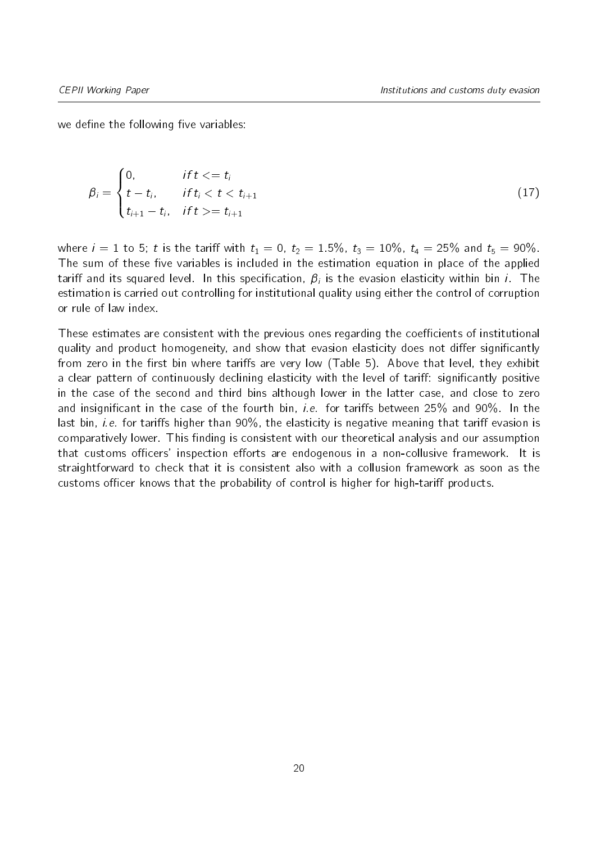we define the following five variables:

$$
\beta_i = \begin{cases}\n0, & \text{if } t <= t_i \\
t - t_i, & \text{if } t_i < t < t_{i+1} \\
t_{i+1} - t_i, & \text{if } t >= t_{i+1}\n\end{cases}\n\tag{17}
$$

where  $i = 1$  to 5; t is the tariff with  $t_1 = 0$ ,  $t_2 = 1.5\%$ ,  $t_3 = 10\%$ ,  $t_4 = 25\%$  and  $t_5 = 90\%$ . The sum of these five variables is included in the estimation equation in place of the applied tariff and its squared level. In this specification,  $\beta_i$  is the evasion elasticity within bin  $i$  . The estimation is carried out controlling for institutional quality using either the control of corruption or rule of law index.

These estimates are consistent with the previous ones regarding the coefficients of institutional quality and product homogeneity, and show that evasion elasticity does not differ significantly from zero in the first bin where tariffs are very low (Table [5\)](#page-20-0). Above that level, they exhibit a clear pattern of continuously declining elasticity with the level of tariff: significantly positive in the case of the second and third bins although lower in the latter case, and close to zero and insignificant in the case of the fourth bin, *i.e.* for tariffs between  $25\%$  and  $90\%$ . In the last bin, *i.e.* for tariffs higher than  $90\%$ , the elasticity is negative meaning that tariff evasion is comparatively lower. This finding is consistent with our theoretical analysis and our assumption that customs officers' inspection efforts are endogenous in a non-collusive framework. It is straightforward to check that it is consistent also with a collusion framework as soon as the customs officer knows that the probability of control is higher for high-tariff products.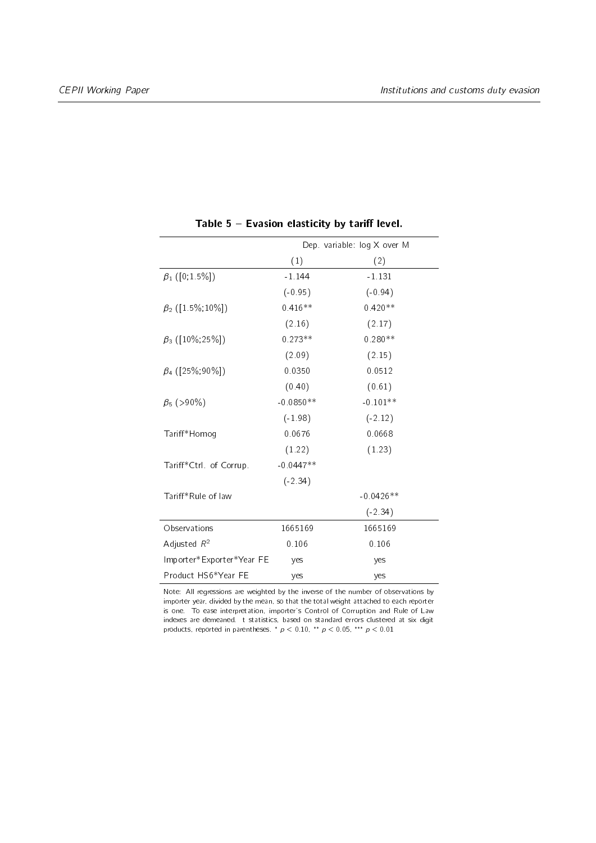<span id="page-20-0"></span>

|                           |             | Dep. variable: log X over M |
|---------------------------|-------------|-----------------------------|
|                           | (1)         | (2)                         |
| $\beta_1$ ([0,1.5%])      | $-1.144$    | $-1.131$                    |
|                           | $(-0.95)$   | $(-0.94)$                   |
| $\beta_2$ ([1 5%, 10%])   | $0.416**$   | $0.420**$                   |
|                           | (2.16)      | (2.17)                      |
| $\beta_3$ ([10%;25%])     | $0.273**$   | $0.280**$                   |
|                           | (2.09)      | (2.15)                      |
| $\beta_4$ ([25%;90%])     | 0 0 3 5 0   | 0.0512                      |
|                           | (0.40)      | (0.61)                      |
| $\beta_5$ (>90%)          | $-0.0850**$ | $-0.101**$                  |
|                           | $(-1.98)$   | $(-2.12)$                   |
| Tariff*Homog              | 0.0676      | 0.0668                      |
|                           | (1.22)      | (1.23)                      |
| Tariff*Ctrl. of Corrup.   | $-0.0447**$ |                             |
|                           | $(-2.34)$   |                             |
| Tariff*Rule of law        |             | $-0.0426**$                 |
|                           |             | $(-2.34)$                   |
| Observations              | 1665169     | 1665169                     |
| Adjusted $R^2$            | 0.106       | 0.106                       |
| Importer*Exporter*Year FE | yes         | yes                         |
| Product HS6*Year FE       | yes         | yes                         |

Table  $5$  – Evasion elasticity by tariff level.

Note: All regressions are weighted by the inverse of the number of observations by importer year, divided by the mean, so that the total weight attached to each reporter is one. To ease interpretation, importer's Control of Corruption and Rule of Law indexes are demeaned. t statistics, based on standard errors clustered at six digit products, reported in parentheses.  $p < 0.10$ ,  $\rightarrow p < 0.05$ ,  $\rightarrow \rightarrow p < 0.01$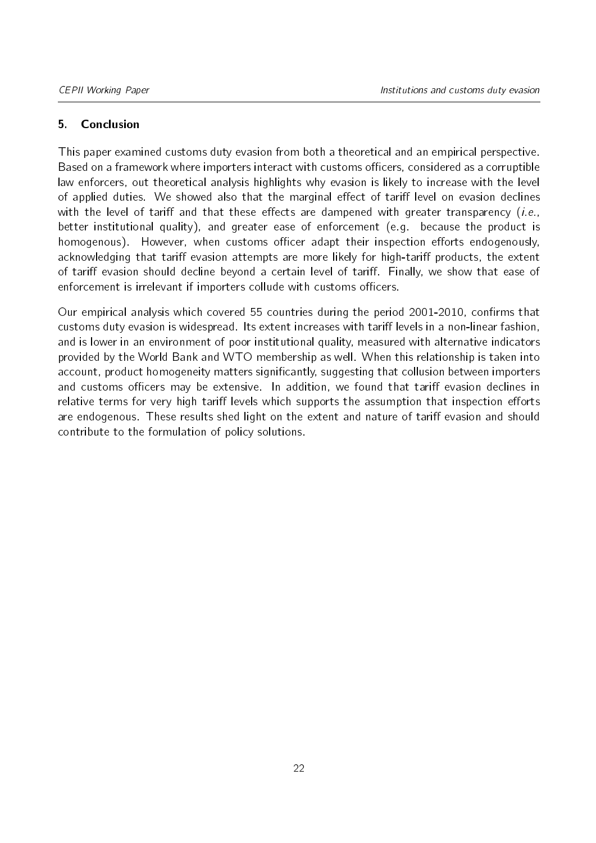#### 5. Conclusion

This paper examined customs duty evasion from both a theoretical and an empirical perspective. Based on a framework where importers interact with customs officers, considered as a corruptible law enforcers, out theoretical analysis highlights why evasion is likely to increase with the level of applied duties. We showed also that the marginal effect of tariff level on evasion declines with the level of tariff and that these effects are dampened with greater transparency (i.e., better institutional quality), and greater ease of enforcement (e.g. because the product is homogenous). However, when customs officer adapt their inspection efforts endogenously. acknowledging that tariff evasion attempts are more likely for high-tariff products, the extent of tariff evasion should decline beyond a certain level of tariff. Finally, we show that ease of enforcement is irrelevant if importers collude with customs officers.

Our empirical analysis which covered 55 countries during the period 2001-2010, confirms that customs duty evasion is widespread. Its extent increases with tariff levels in a non-linear fashion, and is lower in an environment of poor institutional quality, measured with alternative indicators provided by the World Bank and WTO membership as well. When this relationship is taken into account, product homogeneity matters significantly, suggesting that collusion between importers and customs officers may be extensive. In addition, we found that tariff evasion declines in relative terms for very high tariff levels which supports the assumption that inspection efforts are endogenous. These results shed light on the extent and nature of tariff evasion and should contribute to the formulation of policy solutions.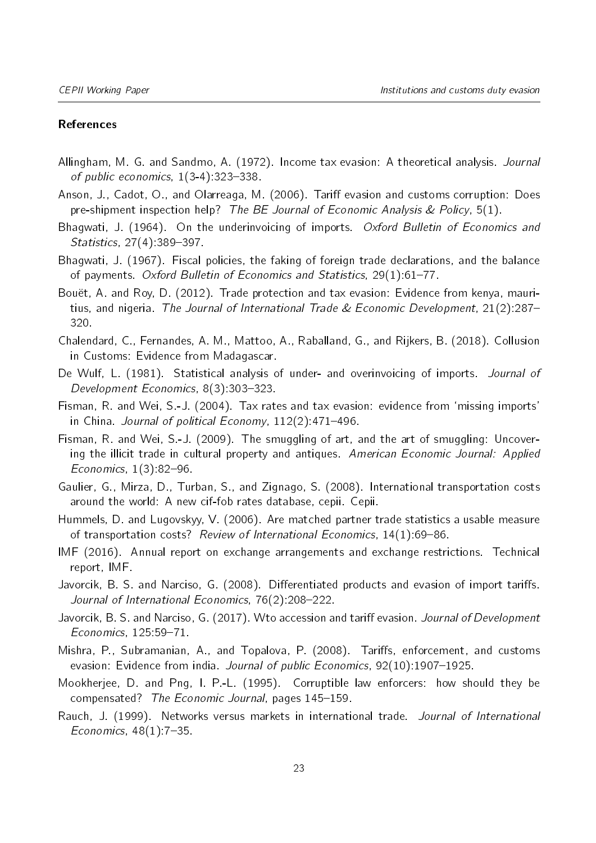#### References

- <span id="page-22-10"></span>Allingham, M. G. and Sandmo, A. (1972). Income tax evasion: A theoretical analysis. Journal of public economics,  $1(3-4)$ : 323-338.
- <span id="page-22-9"></span>Anson, J., Cadot, O., and Olarreaga, M. (2006). Tariff evasion and customs corruption: Does pre-shipment inspection help? The BE Journal of Economic Analysis & Policy,  $5(1)$ .
- <span id="page-22-0"></span>Bhagwati, J. (1964). On the underinvoicing of imports. Oxford Bulletin of Economics and Statistics, 27(4):389-397.
- <span id="page-22-1"></span>Bhagwati, J. (1967). Fiscal policies, the faking of foreign trade declarations, and the balance of payments. Oxford Bulletin of Economics and Statistics,  $29(1)$ :61-77.
- <span id="page-22-5"></span>Bouët, A. and Roy, D. (2012). Trade protection and tax evasion: Evidence from kenya, mauritius, and nigeria. The Journal of International Trade & Economic Development, 21(2):287 320.
- <span id="page-22-7"></span>Chalendard, C., Fernandes, A. M., Mattoo, A., Raballand, G., and Rijkers, B. (2018). Collusion in Customs: Evidence from Madagascar.
- <span id="page-22-13"></span>De Wulf, L. (1981). Statistical analysis of under- and overinvoicing of imports. Journal of Development Economics, 8(3):303-323.
- <span id="page-22-2"></span>Fisman, R. and Wei, S.-J. (2004). Tax rates and tax evasion: evidence from 'missing imports' in China. Journal of political Economy,  $112(2)$ : 471-496.
- <span id="page-22-15"></span>Fisman, R. and Wei, S.-J. (2009). The smuggling of art, and the art of smuggling: Uncovering the illicit trade in cultural property and antiques. American Economic Journal: Applied Economics,  $1(3)$ :82-96.
- <span id="page-22-12"></span>Gaulier, G., Mirza, D., Turban, S., and Zignago, S. (2008). International transportation costs around the world: A new cif-fob rates database, cepii. Cepii.
- <span id="page-22-11"></span>Hummels, D. and Lugovskyy, V. (2006). Are matched partner trade statistics a usable measure of transportation costs? Review of International Economics, 14(1):69-86.
- <span id="page-22-14"></span>IMF (2016). Annual report on exchange arrangements and exchange restrictions. Technical report, IMF.
- <span id="page-22-3"></span>Javorcik, B. S. and Narciso, G. (2008). Differentiated products and evasion of import tariffs. Journal of International Economics, 76(2):208-222.
- <span id="page-22-6"></span>Javorcik, B. S. and Narciso, G. (2017). Wto accession and tariff evasion. Journal of Development Economics, 125:59-71.
- <span id="page-22-4"></span>Mishra, P., Subramanian, A., and Topalova, P. (2008). Tariffs, enforcement, and customs evasion: Evidence from india. Journal of public Economics, 92(10):1907-1925.
- <span id="page-22-8"></span>Mookherjee, D. and Png, I. P.-L. (1995). Corruptible law enforcers: how should they be compensated? The Economic Journal, pages 145-159.
- <span id="page-22-16"></span>Rauch, J. (1999). Networks versus markets in international trade. Journal of International Economics,  $48(1)$ : 7-35.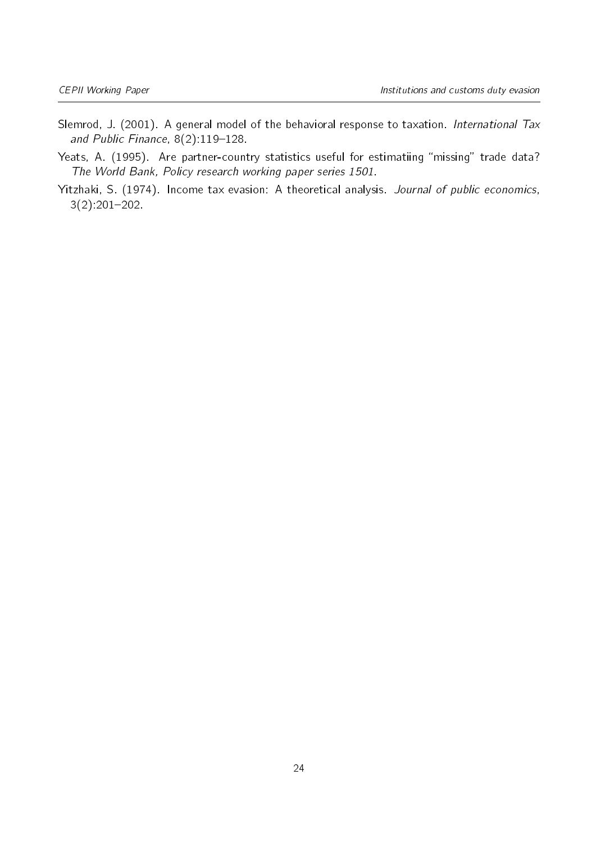- <span id="page-23-0"></span>Slemrod, J. (2001). A general model of the behavioral response to taxation. International Tax and Public Finance,  $8(2):119-128$ .
- <span id="page-23-2"></span>Yeats, A. (1995). Are partner-country statistics useful for estimatiing "missing" trade data? The World Bank, Policy research working paper series 1501.
- <span id="page-23-1"></span>Yitzhaki, S. (1974). Income tax evasion: A theoretical analysis. Journal of public economics,  $3(2):201-202$ .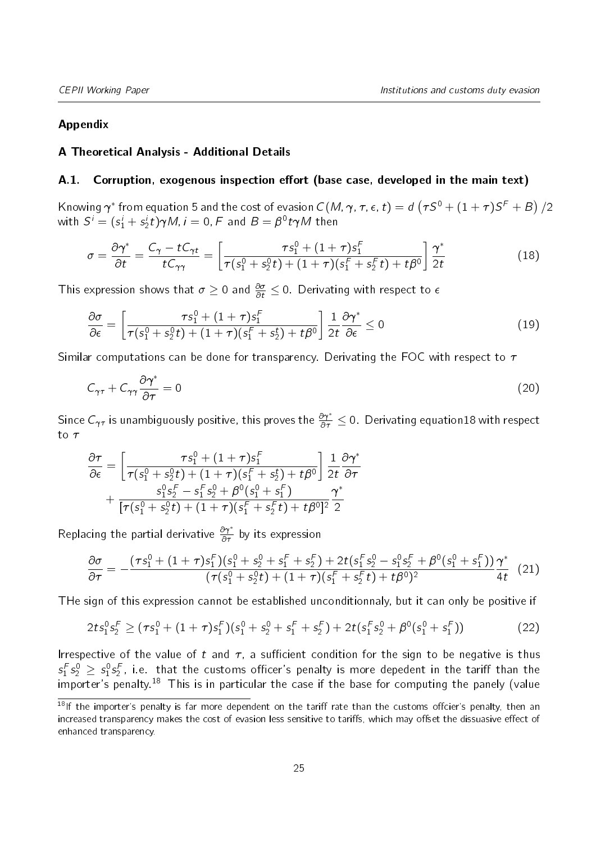#### Appendix

#### A Theoretical Analysis - Additional Details

#### A.1. Corruption, exogenous inspection effort (base case, developed in the main text)

Knowing  $\pmb{\gamma}^*$  from equation [5](#page-7-1) and the cost of evasion  $C(M,\pmb{\gamma},\pmb{\tau},\pmb{\epsilon},t)=d\left(\pmb{\tau} S^0+(1+\pmb{\tau})S^F+B\right)/2$ with  $S^i = (s_1^i + s_2^i t)\gamma M$ ,  $i = 0$ ,  $F$  and  $B = \beta^0 t \gamma M$  then

<span id="page-24-0"></span>
$$
\sigma = \frac{\partial \gamma^*}{\partial t} = \frac{C_{\gamma} - tC_{\gamma t}}{tC_{\gamma\gamma}} = \left[ \frac{\tau s_1^0 + (1+\tau)s_1^F}{\tau (s_1^0 + s_2^0 t) + (1+\tau)(s_1^F + s_2^F t) + t\beta^0} \right] \frac{\gamma^*}{2t}
$$
(18)

This expression shows that  $\sigma \geq 0$  and  $\frac{\partial \sigma}{\partial t} \leq 0$ . Derivating with respect to  $\epsilon$ 

$$
\frac{\partial \sigma}{\partial \epsilon} = \left[ \frac{\tau s_1^0 + (1+\tau) s_1^F}{\tau (s_1^0 + s_2^0 t) + (1+\tau) (s_1^F + s_2^t) + t\beta^0} \right] \frac{1}{2t} \frac{\partial \gamma^*}{\partial \epsilon} \le 0 \tag{19}
$$

Similar computations can be done for transparency. Derivating the FOC with respect to  $\tau$ 

$$
C_{\gamma\tau} + C_{\gamma\gamma} \frac{\partial \gamma^*}{\partial \tau} = 0 \tag{20}
$$

Since  $C_{\gamma\tau}$  is unambiguously positive, this proves the  $\frac{\partial\gamma^*}{\partial\tau}\leq 0$ . Derivating equatio[n18](#page-24-0) with respect to  $\tau$ 

$$
\frac{\partial \tau}{\partial \epsilon} = \left[ \frac{\tau s_1^0 + (1 + \tau) s_1^F}{\tau (s_1^0 + s_2^0 t) + (1 + \tau) (s_1^F + s_2^t) + t \beta^0} \right] \frac{1}{2t} \frac{\partial \gamma^*}{\partial \tau} \n+ \frac{s_1^0 s_2^F - s_1^F s_2^0 + \beta^0 (s_1^0 + s_1^F)}{[\tau (s_1^0 + s_2^0 t) + (1 + \tau) (s_1^F + s_2^F t) + t \beta^0]^2} \frac{\gamma^*}{2}
$$

Replacing the partial derivative  $\frac{\partial \gamma^*}{\partial \tau}$  by its expression

<span id="page-24-2"></span>
$$
\frac{\partial \sigma}{\partial \tau} = -\frac{(\tau s_1^0 + (1+\tau) s_1^F)(s_1^0 + s_2^0 + s_1^F + s_2^F) + 2t(s_1^F s_2^0 - s_1^0 s_2^F + \beta^0 (s_1^0 + s_1^F))}{(\tau (s_1^0 + s_2^0 t) + (1+\tau) (s_1^F + s_2^F t) + t\beta^0)^2} \frac{\gamma^*}{4t}
$$
(21)

THe sign of this expression cannot be established unconditionnaly, but it can only be positive if

$$
2ts_1^0s_2^F \geq (\tau s_1^0 + (1+\tau)s_1^F)(s_1^0 + s_2^0 + s_1^F + s_2^F) + 2t(s_1^F s_2^0 + \beta^0(s_1^0 + s_1^F))
$$
\n(22)

Irrespective of the value of t and  $\tau$ , a sufficient condition for the sign to be negative is thus  $\varsigma_1^F\varsigma_2^0\,\geq\,\varsigma_1^0\varsigma_2^F$ , i.e. that the customs officer's penalty is more depedent in the tariff than the importer's penalty.<sup>[18](#page-24-1)</sup> This is in particular the case if the base for computing the panely (value

<span id="page-24-1"></span> $18$ If the importer's penalty is far more dependent on the tariff rate than the customs offcier's penalty, then an increased transparency makes the cost of evasion less sensitive to tariffs, which may offset the dissuasive effect of enhanced transparency.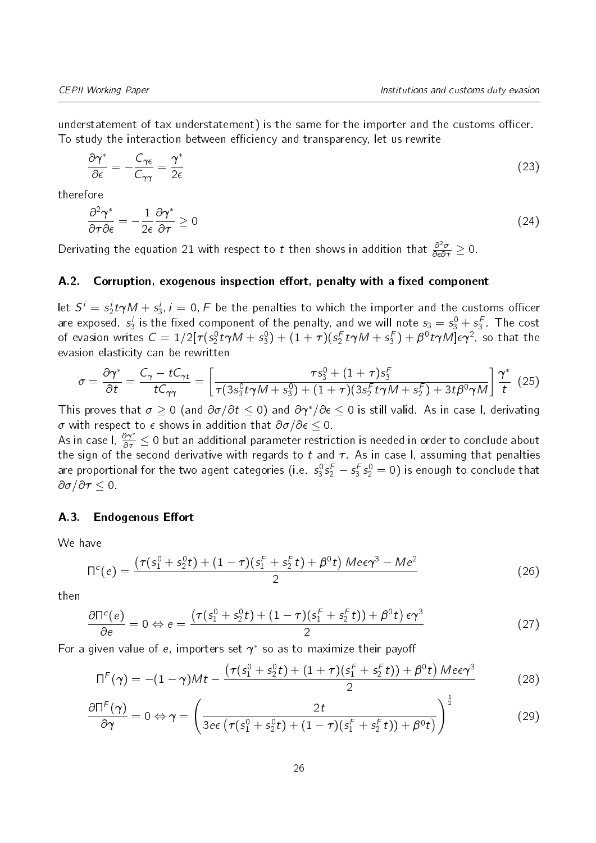understatement of tax understatement) is the same for the importer and the customs officer. To study the interaction between efficiency and transparency, let us rewrite

$$
\frac{\partial \gamma^*}{\partial \epsilon} = -\frac{C_{\gamma\epsilon}}{C_{\gamma\gamma}} = \frac{\gamma^*}{2\epsilon} \tag{23}
$$

therefore

$$
\frac{\partial^2 \gamma^*}{\partial \tau \partial \epsilon} = -\frac{1}{2\epsilon} \frac{\partial \gamma^*}{\partial \tau} \ge 0
$$
\n(24)

Derivating the equation [21](#page-24-2) with respect to  $t$  then shows in addition that  $\frac{\partial^2 \sigma}{\partial \epsilon \partial \tau} \geq 0.$ 

#### A.2. Corruption, exogenous inspection effort, penalty with a fixed component

let  $S^i = s_2^i t \gamma M + s_3^i$ ,  $i=0, F$  be the penalties to which the importer and the customs officer are exposed.  $s_3^i$  is the fixed component of the penalty, and we will note  $s_3 = s_3^0 + s_3^F$ . The cost of evasion writes  $C=1/2[\tau(s_2^0\,t\gamma M+s_3^0)+(1+\tau)(s_2^F\,t\gamma M+s_3^F)+\beta^0\,t\gamma M]\epsilon\gamma^2$ , so that the evasion elasticity can be rewritten

$$
\sigma = \frac{\partial \gamma^*}{\partial t} = \frac{C_{\gamma} - tC_{\gamma t}}{tC_{\gamma \gamma}} = \left[ \frac{\tau s_3^0 + (1 + \tau) s_3^F}{\tau (3s_3^0 t \gamma M + s_3^0) + (1 + \tau) (3s_2^F t \gamma M + s_2^F) + 3t \beta^0 \gamma M} \right] \frac{\gamma^*}{t}
$$
(25)

This proves that  $\sigma \geq 0$  (and  $\partial \sigma/\partial t \leq 0$ ) and  $\partial \gamma^*/\partial \epsilon \leq 0$  is still valid. As in case I, derivating  $\sigma$  with respect to  $\epsilon$  shows in addition that  $\partial \sigma / \partial \epsilon \leq 0$ .

As in case I,  $\frac{\partial \gamma^*}{\partial \tau} \leq 0$  but an additional parameter restriction is needed in order to conclude about the sign of the second derivative with regards to t and  $\tau$ . As in case I, assuming that penalties are proportional for the two agent categories (i.e.  $s_3^0s_2^F-s_3^Fs_2^0=0)$  is enough to conclude that  $\partial \sigma / \partial \tau \leq 0$ .

#### <span id="page-25-0"></span>A.3. Endogenous Effort

We have

$$
\Pi^{c}(e) = \frac{\left(\tau(s_1^0 + s_2^0 t) + (1 - \tau)(s_1^F + s_2^F t) + \beta^0 t\right) M e \epsilon \gamma^3 - M e^2}{2}
$$
(26)

then

<span id="page-25-1"></span>
$$
\frac{\partial \Pi^c(e)}{\partial e} = 0 \Leftrightarrow e = \frac{\left(\tau(s_1^0 + s_2^0 t) + (1 - \tau)(s_1^F + s_2^F t)\right) + \beta^0 t e^2}{2} \tag{27}
$$

For a given value of e, importers set  $\gamma^*$  so as to maximize their payoff

<span id="page-25-2"></span>
$$
\Pi^{F}(\gamma) = -(1-\gamma)Mt - \frac{(\tau(s_1^0 + s_2^0 t) + (1+\tau)(s_1^F + s_2^F t)) + \beta^0 t) Me\epsilon\gamma^3}{2}
$$
(28)

$$
\frac{\partial \Pi^F(\gamma)}{\partial \gamma} = 0 \Leftrightarrow \gamma = \left(\frac{2t}{3e\epsilon \left(\tau(s_1^0 + s_2^0 t) + (1 - \tau)(s_1^F + s_2^F t)\right) + \beta^0 t}\right)^{\frac{1}{2}}
$$
(29)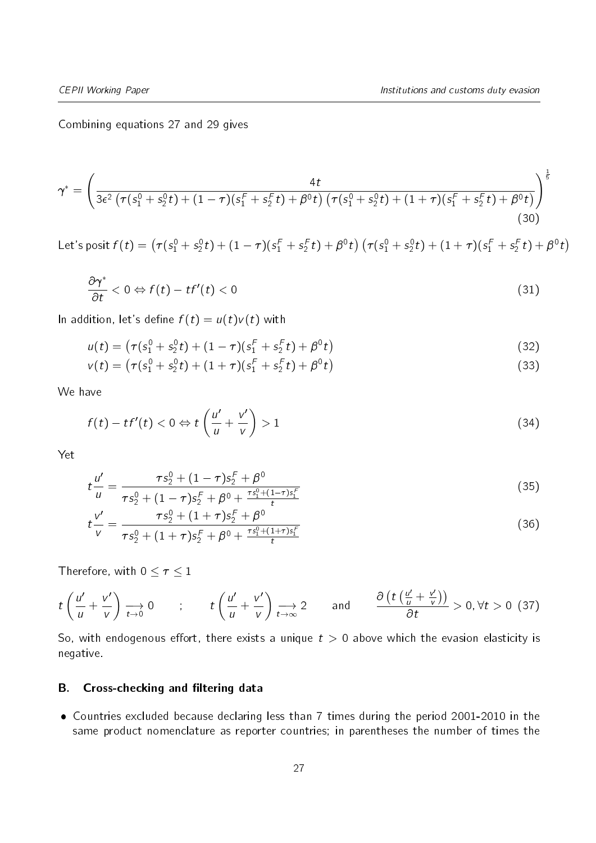Combining equations [27](#page-25-1) and [29](#page-25-2) gives

$$
\gamma^* = \left(\frac{4t}{3\epsilon^2 \left(\tau(s_1^0 + s_2^0 t) + (1 - \tau)(s_1^F + s_2^F t) + \beta^0 t\right) \left(\tau(s_1^0 + s_2^0 t) + (1 + \tau)(s_1^F + s_2^F t) + \beta^0 t\right)}\right)^{\frac{1}{5}}\tag{30}
$$

Let's posit  $f(t)=\left(\tau(s_1^0+s_2^0t)+(1-\tau)(s_1^F+s_2^Ft)+\beta^0t\right)\left(\tau(s_1^0+s_2^0t)+(1+\tau)(s_1^F+s_2^Ft)+\beta^0t\right)$ 

$$
\frac{\partial \gamma^*}{\partial t} < 0 \Leftrightarrow f(t) - tf'(t) < 0 \tag{31}
$$

In addition, let's define  $f(t) = u(t)v(t)$  with

$$
u(t) = (\tau(s_1^0 + s_2^0 t) + (1 - \tau)(s_1^F + s_2^F t) + \beta^0 t)
$$
\n(32)

$$
v(t) = (\tau(s_1^0 + s_2^0 t) + (1 + \tau)(s_1^F + s_2^F t) + \beta^0 t)
$$
\n(33)

We have

$$
f(t) - tf'(t) < 0 \Leftrightarrow t\left(\frac{u'}{u} + \frac{v'}{v}\right) > 1\tag{34}
$$

Yet

$$
t\frac{u'}{u} = \frac{\tau s_2^0 + (1-\tau)s_2^F + \beta^0}{\tau s_2^0 + (1-\tau)s_2^F + \beta^0 + \frac{\tau s_1^0 + (1-\tau)s_1^F}{t}}
$$
(35)

$$
t\frac{v'}{v} = \frac{\tau s_2^0 + (1+\tau)s_2^F + \beta^0}{\tau s_2^0 + (1+\tau)s_2^F + \beta^0 + \frac{\tau s_1^0 + (1+\tau)s_1^F}{t}}
$$
(36)

Therefore, with  $0 \leq \tau \leq 1$ 

$$
t\left(\frac{u'}{u}+\frac{v'}{v}\right)\underset{t\to 0}{\longrightarrow} 0 \qquad ; \qquad t\left(\frac{u'}{u}+\frac{v'}{v}\right)\underset{t\to \infty}{\longrightarrow} 2 \qquad \text{and} \qquad \frac{\partial \left(t\left(\frac{u'}{u}+\frac{v'}{v}\right)\right)}{\partial t} > 0, \forall t > 0 \tag{37}
$$

So, with endogenous effort, there exists a unique  $t > 0$  above which the evasion elasticity is negative.

#### <span id="page-26-0"></span>B. Cross-checking and filtering data

 Countries excluded because declaring less than 7 times during the period 2001-2010 in the same product nomenclature as reporter countries; in parentheses the number of times the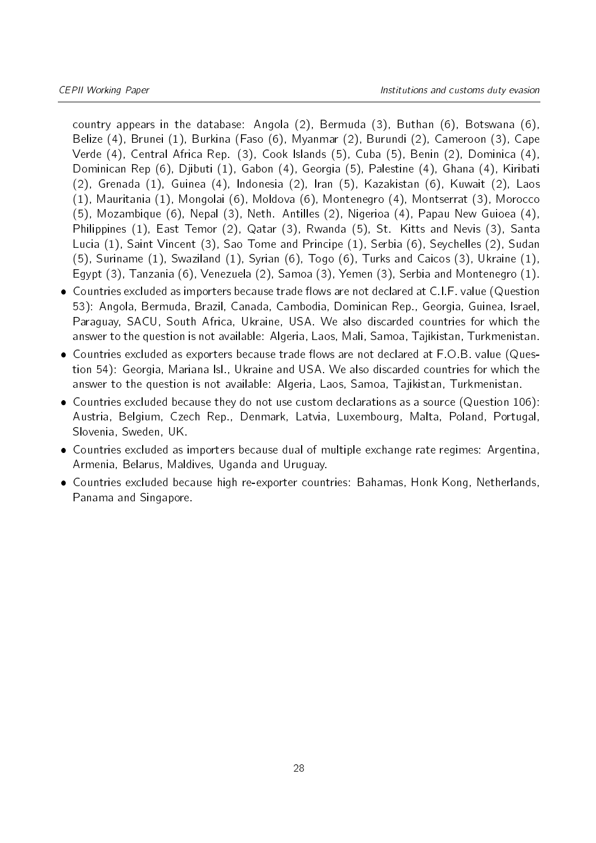country appears in the database: Angola (2), Bermuda (3), Buthan (6), Botswana (6), Belize (4), Brunei (1), Burkina (Faso (6), Myanmar (2), Burundi (2), Cameroon (3), Cape Verde (4), Central Africa Rep. (3), Cook Islands (5), Cuba (5), Benin (2), Dominica (4), Dominican Rep (6), Djibuti (1), Gabon (4), Georgia (5), Palestine (4), Ghana (4), Kiribati (2), Grenada (1), Guinea (4), Indonesia (2), Iran (5), Kazakistan (6), Kuwait (2), Laos (1), Mauritania (1), Mongolai (6), Moldova (6), Montenegro (4), Montserrat (3), Morocco (5), Mozambique (6), Nepal (3), Neth. Antilles (2), Nigerioa (4), Papau New Guioea (4), Philippines (1), East Temor (2), Qatar (3), Rwanda (5), St. Kitts and Nevis (3), Santa Lucia (1), Saint Vincent (3), Sao Tome and Principe (1), Serbia (6), Seychelles (2), Sudan (5), Suriname (1), Swaziland (1), Syrian (6), Togo (6), Turks and Caicos (3), Ukraine (1), Egypt (3), Tanzania (6), Venezuela (2), Samoa (3), Yemen (3), Serbia and Montenegro (1).

- Countries excluded as importers because trade flows are not declared at C.I.F. value (Question 53): Angola, Bermuda, Brazil, Canada, Cambodia, Dominican Rep., Georgia, Guinea, Israel, Paraguay, SACU, South Africa, Ukraine, USA. We also discarded countries for which the answer to the question is not available: Algeria, Laos, Mali, Samoa, Tajikistan, Turkmenistan.
- $\bullet$  Countries excluded as exporters because trade flows are not declared at F.O.B. value (Question 54): Georgia, Mariana Isl., Ukraine and USA. We also discarded countries for which the answer to the question is not available: Algeria, Laos, Samoa, Tajikistan, Turkmenistan.
- Countries excluded because they do not use custom declarations as a source (Question 106): Austria, Belgium, Czech Rep., Denmark, Latvia, Luxembourg, Malta, Poland, Portugal, Slovenia, Sweden, UK.
- Countries excluded as importers because dual of multiple exchange rate regimes: Argentina, Armenia, Belarus, Maldives, Uganda and Uruguay.
- Countries excluded because high re-exporter countries: Bahamas, Honk Kong, Netherlands, Panama and Singapore.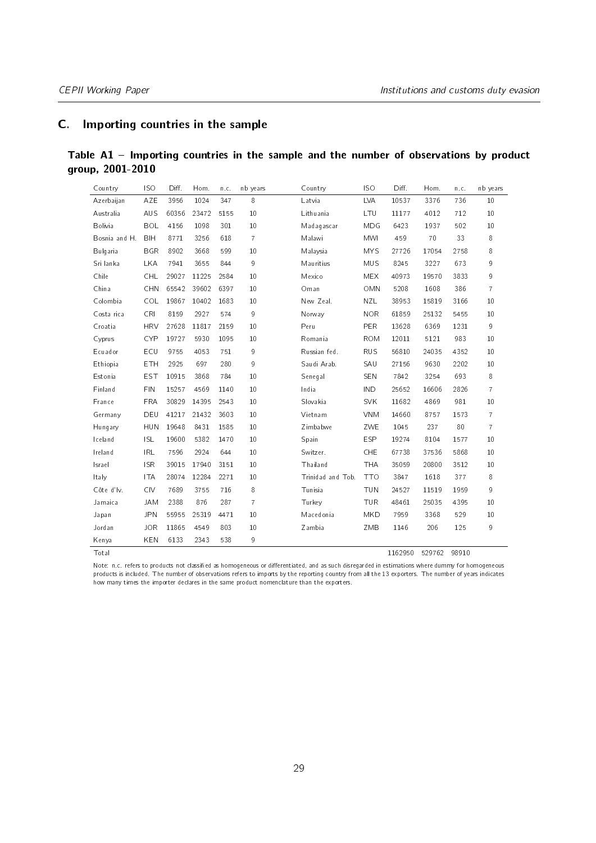### <span id="page-28-1"></span>C. Importing countries in the sample

<span id="page-28-0"></span>

| Table A1 – Importing countries in the sample and the number of observations by product |  |  |  |  |  |
|----------------------------------------------------------------------------------------|--|--|--|--|--|
| group, 2001-2010                                                                       |  |  |  |  |  |

| Countrv       | <b>ISO</b> | Diff. | Hom.  | n.c. | nb years       |               | Country           | IS O       | Diff.   | Hom.   | n.c.  | nb years       |
|---------------|------------|-------|-------|------|----------------|---------------|-------------------|------------|---------|--------|-------|----------------|
| Azerbaijan    | AZE        | 3956  | 1024  | 347  | 8              | Latvia        |                   | <b>LVA</b> | 10537   | 3376   | 736   | 10             |
| Australia     | AUS        | 60356 | 23472 | 5155 | 10             |               | Lithuania         | LTU        | 11177   | 4012   | 712   | 10             |
| Bolivia       | <b>BOL</b> | 4156  | 1098  | 301  | 10             |               | Madagascar        | MDG        | 6423    | 1937   | 502   | 10             |
| Bosnia and H. | <b>BIH</b> | 8771  | 3256  | 618  | $\overline{7}$ | Malawi        |                   | <b>MWI</b> | 459     | 70     | 33    | 8              |
| Bulgaria      | <b>BGR</b> | 8902  | 3668  | 599  | 10             |               | Malaysia          | <b>MYS</b> | 27726   | 17054  | 2758  | 8              |
| Sri lanka     | <b>LKA</b> | 7941  | 3655  | 844  | 9              |               | Mauritius         | <b>MUS</b> | 8245    | 3227   | 673   | 9              |
| Chile         | <b>CHL</b> | 29027 | 11225 | 2584 | 10             | Mexico        |                   | <b>MEX</b> | 40973   | 19570  | 3833  | 9              |
| China         | CHN        | 65542 | 39602 | 6397 | 10             | Oman          |                   | OMN        | 5208    | 1608   | 386   | $\overline{7}$ |
| Colombia      | <b>COL</b> | 19867 | 10402 | 1683 | 10             |               | New Zeal.         | NZL.       | 38953   | 15819  | 3166  | 10             |
| Costa rica    | <b>CRI</b> | 8159  | 2927  | 574  | 9              | Norway        |                   | <b>NOR</b> | 61859   | 25132  | 5455  | 10             |
| Croatia       | <b>HRV</b> | 27628 | 11817 | 2159 | 10             | Peru          |                   | <b>PER</b> | 13628   | 6369   | 1231  | $\mathsf{g}$   |
| Cyprus        | <b>CYP</b> | 19727 | 5930  | 1095 | 10             |               | Romania           | <b>ROM</b> | 12011   | 5121   | 983   | 10             |
| Ecuador       | ECU        | 9755  | 4053  | 751  | 9              |               | Russian fed.      | <b>RUS</b> | 56810   | 24035  | 4352  | 10             |
| Ethiopia      | <b>ETH</b> | 2925  | 697   | 280  | 9              |               | Saudi Arab.       | SAU        | 27156   | 9630   | 2202  | 10             |
| Estonia       | <b>EST</b> | 10915 | 3868  | 784  | 10             |               | Senegal           | SEN        | 7842    | 3254   | 693   | 8              |
| Finland       | <b>FIN</b> | 15257 | 4569  | 1140 | 10             | India         |                   | <b>IND</b> | 25652   | 16606  | 2826  | $\overline{7}$ |
| France        | <b>FRA</b> | 30829 | 14395 | 2543 | 10             |               | Slovakia          | <b>SVK</b> | 11682   | 4869   | 981   | 10             |
| Germany       | DEU        | 41217 | 21432 | 3603 | 10             |               | Vietnam           | <b>VNM</b> | 14660   | 8757   | 1573  | $\overline{7}$ |
| Hungary       | <b>HUN</b> | 19648 | 8431  | 1585 | 10             |               | Zimbabwe          | ZWE        | 1045    | 237    | 80    | $\overline{7}$ |
| Iceland       | <b>ISL</b> | 19600 | 5382  | 1470 | 10             | Spain         |                   | <b>ESP</b> | 19274   | 8104   | 1577  | 10             |
| Ireland       | <b>IRL</b> | 7596  | 2924  | 644  | 10             |               | Switzer.          | <b>CHE</b> | 67738   | 37536  | 5868  | 10             |
| Israel        | <b>ISR</b> | 39015 | 17940 | 3151 | 10             |               | Thailand          | <b>THA</b> | 35059   | 20800  | 3512  | 10             |
| Italy         | <b>ITA</b> | 28074 | 12284 | 2271 | 10             |               | Trinidad and Tob. | <b>TTO</b> | 3847    | 1618   | 377   | 8              |
| Côte d'Iv.    | <b>CIV</b> | 7689  | 3755  | 716  | 8              | Tunisia       |                   | <b>TUN</b> | 24527   | 11519  | 1959  | 9              |
| Jamaica       | <b>JAM</b> | 2388  | 876   | 287  | $\overline{7}$ | <b>Turkey</b> |                   | <b>TUR</b> | 48461   | 25035  | 4395  | 10             |
| Japan         | <b>JPN</b> | 55955 | 25319 | 4471 | 10             |               | Macedonia         | MKD        | 7959    | 3368   | 529   | 10             |
| Jordan        | <b>JOR</b> | 11865 | 4549  | 803  | 10             | Zambia        |                   | ZMB        | 1146    | 206    | 125   | $\mathsf g$    |
| Kenya         | KEN        | 6133  | 2343  | 538  | 9              |               |                   |            |         |        |       |                |
| Total         |            |       |       |      |                |               |                   |            | 1162950 | 529762 | 98910 |                |

Note: n.c. refers to products not classified as homogeneous or differentiated, and as such disregarded in estimations where dummy for homogeneous products is included. The number of observations refers to imports by the reporting country from all the 13 exporters. The number of years indicates how many times the importer declares in the same product nomenclature than the exporters.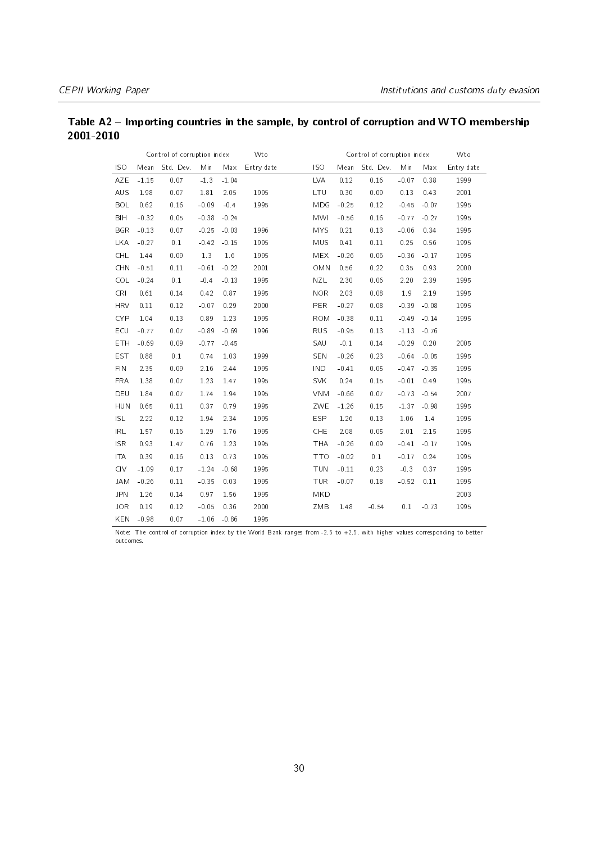|            |         | Control of corruption index |         |         | Wto        |            |         | Control of corruption index |         |         | Wto        |
|------------|---------|-----------------------------|---------|---------|------------|------------|---------|-----------------------------|---------|---------|------------|
| <b>ISO</b> | Mean    | Std. Dev.                   | Min     | Max     | Entry date | <b>ISO</b> | Mean    | Std. Dev.                   | Min     | Max     | Entry date |
| AZE        | $-1.15$ | 0.07                        | $-1.3$  | $-1.04$ |            | LVA        | 0.12    | 0.16                        | $-0.07$ | 0.38    | 1999       |
| AUS        | 1.98    | 0.07                        | 1.81    | 2.05    | 1995       | LTU        | 0.30    | 0.09                        | 0.13    | 0.43    | 2001       |
| <b>BOL</b> | 0.62    | 0.16                        | $-0.09$ | $-0.4$  | 1995       | MDG        | $-0.25$ | 0.12                        | $-0.45$ | $-0.07$ | 1995       |
| <b>BIH</b> | $-0.32$ | 0.05                        | $-0.38$ | $-0.24$ |            | <b>MWI</b> | $-0.56$ | 0.16                        | $-0.77$ | $-0.27$ | 1995       |
| <b>BGR</b> | $-0.13$ | 0.07                        | $-0.25$ | $-0.03$ | 1996       | <b>MYS</b> | 0.21    | 0.13                        | $-0.06$ | 0.34    | 1995       |
| <b>LKA</b> | $-0.27$ | 0.1                         | $-0.42$ | $-0.15$ | 1995       | <b>MUS</b> | 0.41    | 0.11                        | 0.25    | 0.56    | 1995       |
| CHL        | 1.44    | 0.09                        | 1.3     | 1.6     | 1995       | <b>MEX</b> | $-0.26$ | 0.06                        | $-0.36$ | $-0.17$ | 1995       |
| <b>CHN</b> | $-0.51$ | 0.11                        | $-0.61$ | $-0.22$ | 2001       | OMN        | 0.56    | 0.22                        | 0.35    | 0.93    | 2000       |
| <b>COL</b> | $-0.24$ | 0.1                         | $-0.4$  | $-0.13$ | 1995       | NZL        | 2.30    | 0.06                        | 2.20    | 2.39    | 1995       |
| <b>CRI</b> | 0.61    | 0.14                        | 0.42    | 0.87    | 1995       | <b>NOR</b> | 2.03    | 0.08                        | 1.9     | 2.19    | 1995       |
| <b>HRV</b> | 0.11    | 0.12                        | $-0.07$ | 0.29    | 2000       | PER        | $-0.27$ | 0.08                        | $-0.39$ | $-0.08$ | 1995       |
| <b>CYP</b> | 1.04    | 0.13                        | 0.89    | 1.23    | 1995       | <b>ROM</b> | $-0.38$ | 0.11                        | $-0.49$ | $-0.14$ | 1995       |
| ECU        | $-0.77$ | 0.07                        | $-0.89$ | $-0.69$ | 1996       | <b>RUS</b> | $-0.95$ | 0.13                        | $-1.13$ | $-0.76$ |            |
| ETH        | $-0.69$ | 0.09                        | $-0.77$ | $-0.45$ |            | SAU        | $-0.1$  | 0.14                        | $-0.29$ | 0.20    | 2005       |
| <b>EST</b> | 0.88    | 0.1                         | 0.74    | 1.03    | 1999       | SEN        | $-0.26$ | 0.23                        | $-0.64$ | $-0.05$ | 1995       |
| <b>FIN</b> | 2.35    | 0.09                        | 2.16    | 2.44    | 1995       | <b>IND</b> | $-0.41$ | 0.05                        | $-0.47$ | $-0.35$ | 1995       |
| <b>FRA</b> | 1.38    | 0.07                        | 1.23    | 1.47    | 1995       | <b>SVK</b> | 0.24    | 0.15                        | $-0.01$ | 0.49    | 1995       |
| DEU        | 1.84    | 0.07                        | 1.74    | 1.94    | 1995       | <b>VNM</b> | $-0.66$ | 0.07                        | $-0.73$ | $-0.54$ | 2007       |
| <b>HUN</b> | 0.65    | 0.11                        | 0.37    | 0.79    | 1995       | ZWE        | $-1.26$ | 0.15                        | $-1.37$ | $-0.98$ | 1995       |
| <b>ISL</b> | 2.22    | 0.12                        | 1.94    | 2.34    | 1995       | <b>ESP</b> | 1.26    | 0.13                        | 1.06    | 1.4     | 1995       |
| IRL        | 1.57    | 0.16                        | 1.29    | 1.76    | 1995       | CHE        | 2.08    | 0.05                        | 2.01    | 2.15    | 1995       |
| <b>ISR</b> | 0.93    | 1.47                        | 0.76    | 1.23    | 1995       | <b>THA</b> | $-0.26$ | 0.09                        | $-0.41$ | $-0.17$ | 1995       |
| <b>ITA</b> | 0.39    | 0.16                        | 0.13    | 0.73    | 1995       | <b>TTO</b> | $-0.02$ | 0.1                         | $-0.17$ | 0.24    | 1995       |
| <b>CIV</b> | $-1.09$ | 0.17                        | $-1.24$ | $-0.68$ | 1995       | <b>TUN</b> | $-0.11$ | 0.23                        | $-0.3$  | 0.37    | 1995       |
| <b>JAM</b> | $-0.26$ | 0.11                        | $-0.35$ | 0.03    | 1995       | <b>TUR</b> | $-0.07$ | 0.18                        | $-0.52$ | 0.11    | 1995       |
| <b>JPN</b> | 1.26    | 0.14                        | 0.97    | 1.56    | 1995       | MKD        |         |                             |         |         | 2003       |
| <b>JOR</b> | 0.19    | 0.12                        | $-0.05$ | 0.36    | 2000       | ZMB        | 1.48    | $-0.54$                     | 0.1     | $-0.73$ | 1995       |
| KEN        | $-0.98$ | 0.07                        | $-1.06$ | $-0.86$ | 1995       |            |         |                             |         |         |            |

#### <span id="page-29-0"></span>Table A2 - Importing countries in the sample, by control of corruption and WTO membership 2001-2010

Note: The control of corruption index by the World Bank ranges from -2.5 to +2.5, with higher values corresponding to better outcomes.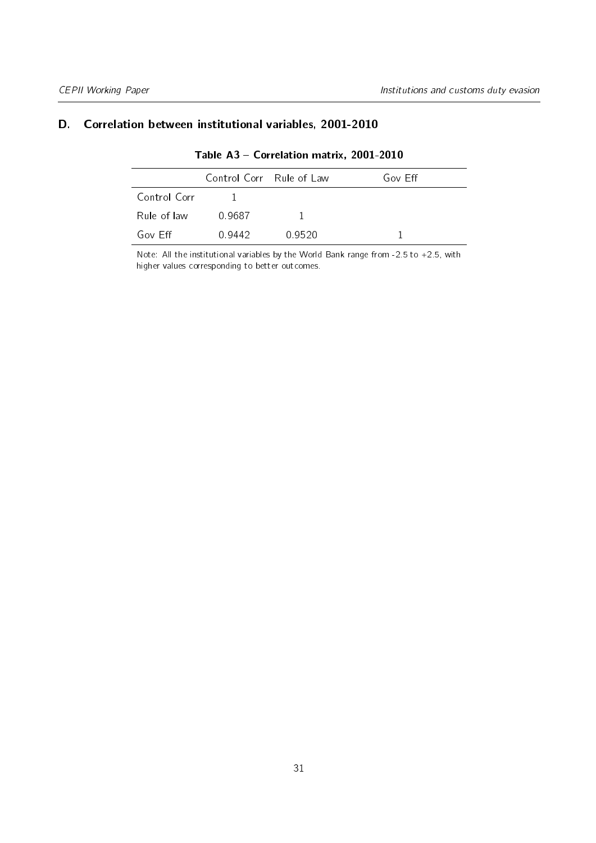#### <span id="page-30-1"></span><span id="page-30-0"></span>D. Correlation between institutional variables, 2001-2010

|              | Control Corr Rule of Law |        | Gov Eff |
|--------------|--------------------------|--------|---------|
| Control Corr |                          |        |         |
| Rule of law  | 0.9687                   |        |         |
| Gov Eff      | 0.9442                   | 0.9520 |         |

#### Table A3 - Correlation matrix, 2001-2010

Note: All the institutional variables by the World Bank range from -2.5 to +2.5, with higher values corresponding to better outcomes.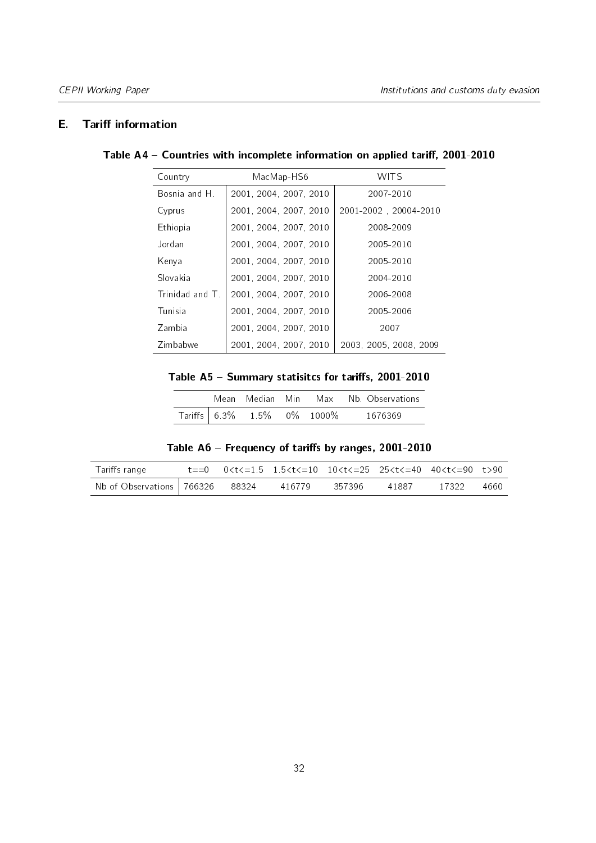#### <span id="page-31-0"></span>**E.** Tariff information

#### Table A4 - Countries with incomplete information on applied tariff, 2001-2010

| Country        | MacMap-HS6             | <b>WITS</b>            |
|----------------|------------------------|------------------------|
| Bosnia and H.  | 2001, 2004, 2007, 2010 | 2007-2010              |
| Cyprus         | 2001, 2004, 2007, 2010 | 2001-2002, 20004-2010  |
| Ethiopia       | 2001, 2004, 2007, 2010 | 2008-2009              |
| Jordan         | 2001, 2004, 2007, 2010 | 2005-2010              |
| Kenya          | 2001, 2004, 2007, 2010 | 2005-2010              |
| Slovakia       | 2001, 2004, 2007, 2010 | 2004-2010              |
| Trinidad and T | 2001, 2004, 2007, 2010 | 2006-2008              |
| Tunisia        | 2001, 2004, 2007, 2010 | 2005-2006              |
| Zambia         | 2001, 2004, 2007, 2010 | 2007                   |
| Zimbabwe       | 2001, 2004, 2007, 2010 | 2003, 2005, 2008, 2009 |

Table  $A5 -$  Summary statisitcs for tariffs, 2001-2010

|  | Mean Median Min               |  | Max – Nb. Observations |
|--|-------------------------------|--|------------------------|
|  | Tariffs $6.3\%$ 1.5% 0% 1000% |  | 1676369                |

Table  $A6$  - Frequency of tariffs by ranges, 2001-2010

<span id="page-31-2"></span><span id="page-31-1"></span>

| Tariffs range                            |  | $t == 0$ $0 < t < 1.5$ $1.5 < t < 10$ $10 < t < 25$ $25 < t < 40$ $40 < t < 90$ $t > 90$ |        |       |       |      |
|------------------------------------------|--|------------------------------------------------------------------------------------------|--------|-------|-------|------|
| Nb of Observations $\sqrt{766326}$ 88324 |  | 416779                                                                                   | 357396 | 41887 | 17322 | 4660 |